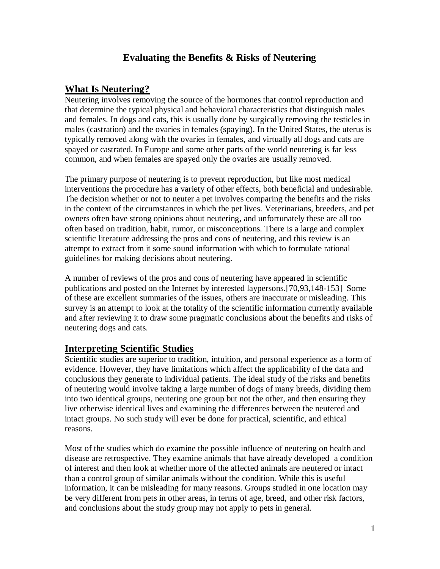# **Evaluating the Benefits & Risks of Neutering**

## **What Is Neutering?**

Neutering involves removing the source of the hormones that control reproduction and that determine the typical physical and behavioral characteristics that distinguish males and females. In dogs and cats, this is usually done by surgically removing the testicles in males (castration) and the ovaries in females (spaying). In the United States, the uterus is typically removed along with the ovaries in females, and virtually all dogs and cats are spayed or castrated. In Europe and some other parts of the world neutering is far less common, and when females are spayed only the ovaries are usually removed.

The primary purpose of neutering is to prevent reproduction, but like most medical interventions the procedure has a variety of other effects, both beneficial and undesirable. The decision whether or not to neuter a pet involves comparing the benefits and the risks in the context of the circumstances in which the pet lives. Veterinarians, breeders, and pet owners often have strong opinions about neutering, and unfortunately these are all too often based on tradition, habit, rumor, or misconceptions. There is a large and complex scientific literature addressing the pros and cons of neutering, and this review is an attempt to extract from it some sound information with which to formulate rational guidelines for making decisions about neutering.

A number of reviews of the pros and cons of neutering have appeared in scientific publications and posted on the Internet by interested laypersons.[70,93,148-153] Some of these are excellent summaries of the issues, others are inaccurate or misleading. This survey is an attempt to look at the totality of the scientific information currently available and after reviewing it to draw some pragmatic conclusions about the benefits and risks of neutering dogs and cats.

## **Interpreting Scientific Studies**

Scientific studies are superior to tradition, intuition, and personal experience as a form of evidence. However, they have limitations which affect the applicability of the data and conclusions they generate to individual patients. The ideal study of the risks and benefits of neutering would involve taking a large number of dogs of many breeds, dividing them into two identical groups, neutering one group but not the other, and then ensuring they live otherwise identical lives and examining the differences between the neutered and intact groups. No such study will ever be done for practical, scientific, and ethical reasons.

Most of the studies which do examine the possible influence of neutering on health and disease are retrospective. They examine animals that have already developed a condition of interest and then look at whether more of the affected animals are neutered or intact than a control group of similar animals without the condition. While this is useful information, it can be misleading for many reasons. Groups studied in one location may be very different from pets in other areas, in terms of age, breed, and other risk factors, and conclusions about the study group may not apply to pets in general.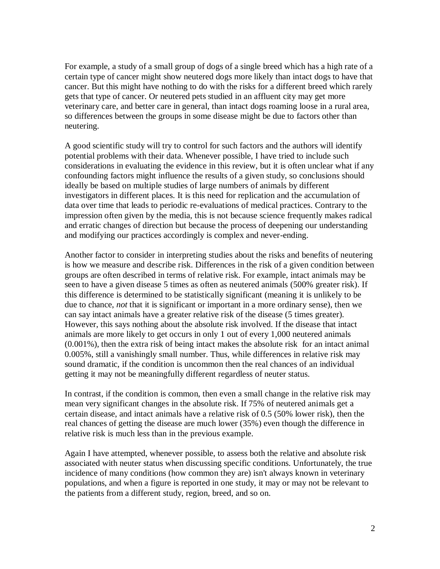For example, a study of a small group of dogs of a single breed which has a high rate of a certain type of cancer might show neutered dogs more likely than intact dogs to have that cancer. But this might have nothing to do with the risks for a different breed which rarely gets that type of cancer. Or neutered pets studied in an affluent city may get more veterinary care, and better care in general, than intact dogs roaming loose in a rural area, so differences between the groups in some disease might be due to factors other than neutering.

A good scientific study will try to control for such factors and the authors will identify potential problems with their data. Whenever possible, I have tried to include such considerations in evaluating the evidence in this review, but it is often unclear what if any confounding factors might influence the results of a given study, so conclusions should ideally be based on multiple studies of large numbers of animals by different investigators in different places. It is this need for replication and the accumulation of data over time that leads to periodic re-evaluations of medical practices. Contrary to the impression often given by the media, this is not because science frequently makes radical and erratic changes of direction but because the process of deepening our understanding and modifying our practices accordingly is complex and never-ending.

Another factor to consider in interpreting studies about the risks and benefits of neutering is how we measure and describe risk. Differences in the risk of a given condition between groups are often described in terms of relative risk. For example, intact animals may be seen to have a given disease 5 times as often as neutered animals (500% greater risk). If this difference is determined to be statistically significant (meaning it is unlikely to be due to chance, *not* that it is significant or important in a more ordinary sense), then we can say intact animals have a greater relative risk of the disease (5 times greater). However, this says nothing about the absolute risk involved. If the disease that intact animals are more likely to get occurs in only 1 out of every 1,000 neutered animals (0.001%), then the extra risk of being intact makes the absolute risk for an intact animal 0.005%, still a vanishingly small number. Thus, while differences in relative risk may sound dramatic, if the condition is uncommon then the real chances of an individual getting it may not be meaningfully different regardless of neuter status.

In contrast, if the condition is common, then even a small change in the relative risk may mean very significant changes in the absolute risk. If 75% of neutered animals get a certain disease, and intact animals have a relative risk of 0.5 (50% lower risk), then the real chances of getting the disease are much lower (35%) even though the difference in relative risk is much less than in the previous example.

Again I have attempted, whenever possible, to assess both the relative and absolute risk associated with neuter status when discussing specific conditions. Unfortunately, the true incidence of many conditions (how common they are) isn't always known in veterinary populations, and when a figure is reported in one study, it may or may not be relevant to the patients from a different study, region, breed, and so on.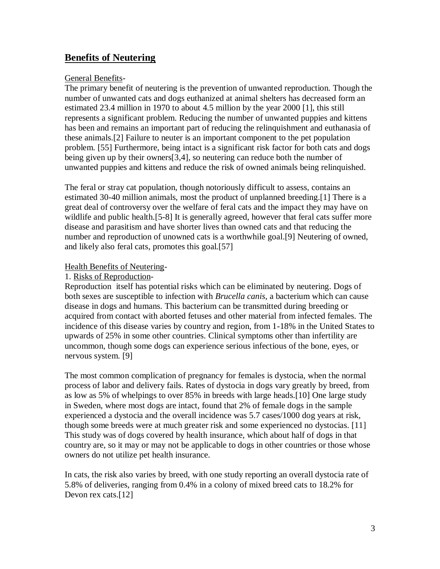# **Benefits of Neutering**

#### General Benefits-

The primary benefit of neutering is the prevention of unwanted reproduction. Though the number of unwanted cats and dogs euthanized at animal shelters has decreased form an estimated 23.4 million in 1970 to about 4.5 million by the year 2000 [1], this still represents a significant problem. Reducing the number of unwanted puppies and kittens has been and remains an important part of reducing the relinquishment and euthanasia of these animals.[2] Failure to neuter is an important component to the pet population problem. [55] Furthermore, being intact is a significant risk factor for both cats and dogs being given up by their owners[3,4], so neutering can reduce both the number of unwanted puppies and kittens and reduce the risk of owned animals being relinquished.

The feral or stray cat population, though notoriously difficult to assess, contains an estimated 30-40 million animals, most the product of unplanned breeding.[1] There is a great deal of controversy over the welfare of feral cats and the impact they may have on wildlife and public health.[5-8] It is generally agreed, however that feral cats suffer more disease and parasitism and have shorter lives than owned cats and that reducing the number and reproduction of unowned cats is a worthwhile goal.[9] Neutering of owned, and likely also feral cats, promotes this goal.[57]

### Health Benefits of Neutering-

### 1. Risks of Reproduction-

Reproduction itself has potential risks which can be eliminated by neutering. Dogs of both sexes are susceptible to infection with *Brucella canis*, a bacterium which can cause disease in dogs and humans. This bacterium can be transmitted during breeding or acquired from contact with aborted fetuses and other material from infected females. The incidence of this disease varies by country and region, from 1-18% in the United States to upwards of 25% in some other countries. Clinical symptoms other than infertility are uncommon, though some dogs can experience serious infectious of the bone, eyes, or nervous system. [9]

The most common complication of pregnancy for females is dystocia, when the normal process of labor and delivery fails. Rates of dystocia in dogs vary greatly by breed, from as low as 5% of whelpings to over 85% in breeds with large heads.[10] One large study in Sweden, where most dogs are intact, found that 2% of female dogs in the sample experienced a dystocia and the overall incidence was 5.7 cases/1000 dog years at risk, though some breeds were at much greater risk and some experienced no dystocias. [11] This study was of dogs covered by health insurance, which about half of dogs in that country are, so it may or may not be applicable to dogs in other countries or those whose owners do not utilize pet health insurance.

In cats, the risk also varies by breed, with one study reporting an overall dystocia rate of 5.8% of deliveries, ranging from 0.4% in a colony of mixed breed cats to 18.2% for Devon rex cats.[12]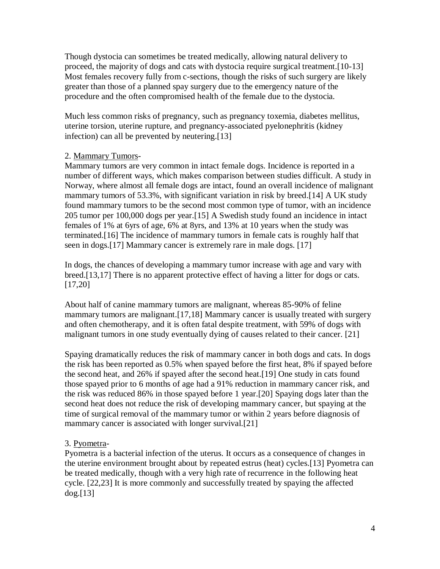Though dystocia can sometimes be treated medically, allowing natural delivery to proceed, the majority of dogs and cats with dystocia require surgical treatment.[10-13] Most females recovery fully from c-sections, though the risks of such surgery are likely greater than those of a planned spay surgery due to the emergency nature of the procedure and the often compromised health of the female due to the dystocia.

Much less common risks of pregnancy, such as pregnancy toxemia, diabetes mellitus, uterine torsion, uterine rupture, and pregnancy-associated pyelonephritis (kidney infection) can all be prevented by neutering.[13]

## 2. Mammary Tumors-

Mammary tumors are very common in intact female dogs. Incidence is reported in a number of different ways, which makes comparison between studies difficult. A study in Norway, where almost all female dogs are intact, found an overall incidence of malignant mammary tumors of 53.3%, with significant variation in risk by breed.[14] A UK study found mammary tumors to be the second most common type of tumor, with an incidence 205 tumor per 100,000 dogs per year.[15] A Swedish study found an incidence in intact females of 1% at 6yrs of age, 6% at 8yrs, and 13% at 10 years when the study was terminated.[16] The incidence of mammary tumors in female cats is roughly half that seen in dogs.[17] Mammary cancer is extremely rare in male dogs. [17]

In dogs, the chances of developing a mammary tumor increase with age and vary with breed.[13,17] There is no apparent protective effect of having a litter for dogs or cats. [17,20]

About half of canine mammary tumors are malignant, whereas 85-90% of feline mammary tumors are malignant.[17,18] Mammary cancer is usually treated with surgery and often chemotherapy, and it is often fatal despite treatment, with 59% of dogs with malignant tumors in one study eventually dying of causes related to their cancer. [21]

Spaying dramatically reduces the risk of mammary cancer in both dogs and cats. In dogs the risk has been reported as 0.5% when spayed before the first heat, 8% if spayed before the second heat, and 26% if spayed after the second heat.[19] One study in cats found those spayed prior to 6 months of age had a 91% reduction in mammary cancer risk, and the risk was reduced 86% in those spayed before 1 year.[20] Spaying dogs later than the second heat does not reduce the risk of developing mammary cancer, but spaying at the time of surgical removal of the mammary tumor or within 2 years before diagnosis of mammary cancer is associated with longer survival.<sup>[21]</sup>

## 3. Pyometra-

Pyometra is a bacterial infection of the uterus. It occurs as a consequence of changes in the uterine environment brought about by repeated estrus (heat) cycles.[13] Pyometra can be treated medically, though with a very high rate of recurrence in the following heat cycle. [22,23] It is more commonly and successfully treated by spaying the affected dog.[13]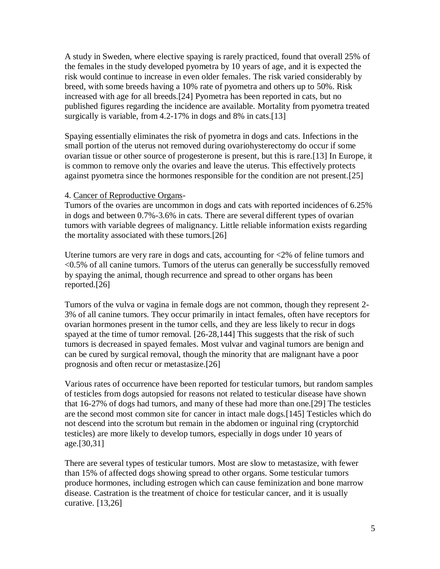A study in Sweden, where elective spaying is rarely practiced, found that overall 25% of the females in the study developed pyometra by 10 years of age, and it is expected the risk would continue to increase in even older females. The risk varied considerably by breed, with some breeds having a 10% rate of pyometra and others up to 50%. Risk increased with age for all breeds.[24] Pyometra has been reported in cats, but no published figures regarding the incidence are available. Mortality from pyometra treated surgically is variable, from 4.2-17% in dogs and 8% in cats.[13]

Spaying essentially eliminates the risk of pyometra in dogs and cats. Infections in the small portion of the uterus not removed during ovariohysterectomy do occur if some ovarian tissue or other source of progesterone is present, but this is rare.[13] In Europe, it is common to remove only the ovaries and leave the uterus. This effectively protects against pyometra since the hormones responsible for the condition are not present.[25]

#### 4. Cancer of Reproductive Organs-

Tumors of the ovaries are uncommon in dogs and cats with reported incidences of 6.25% in dogs and between 0.7%-3.6% in cats. There are several different types of ovarian tumors with variable degrees of malignancy. Little reliable information exists regarding the mortality associated with these tumors.[26]

Uterine tumors are very rare in dogs and cats, accounting for <2% of feline tumors and <0.5% of all canine tumors. Tumors of the uterus can generally be successfully removed by spaying the animal, though recurrence and spread to other organs has been reported.[26]

Tumors of the vulva or vagina in female dogs are not common, though they represent 2- 3% of all canine tumors. They occur primarily in intact females, often have receptors for ovarian hormones present in the tumor cells, and they are less likely to recur in dogs spayed at the time of tumor removal. [26-28,144] This suggests that the risk of such tumors is decreased in spayed females. Most vulvar and vaginal tumors are benign and can be cured by surgical removal, though the minority that are malignant have a poor prognosis and often recur or metastasize.[26]

Various rates of occurrence have been reported for testicular tumors, but random samples of testicles from dogs autopsied for reasons not related to testicular disease have shown that 16-27% of dogs had tumors, and many of these had more than one.[29] The testicles are the second most common site for cancer in intact male dogs.[145] Testicles which do not descend into the scrotum but remain in the abdomen or inguinal ring (cryptorchid testicles) are more likely to develop tumors, especially in dogs under 10 years of age.[30,31]

There are several types of testicular tumors. Most are slow to metastasize, with fewer than 15% of affected dogs showing spread to other organs. Some testicular tumors produce hormones, including estrogen which can cause feminization and bone marrow disease. Castration is the treatment of choice for testicular cancer, and it is usually curative. [13,26]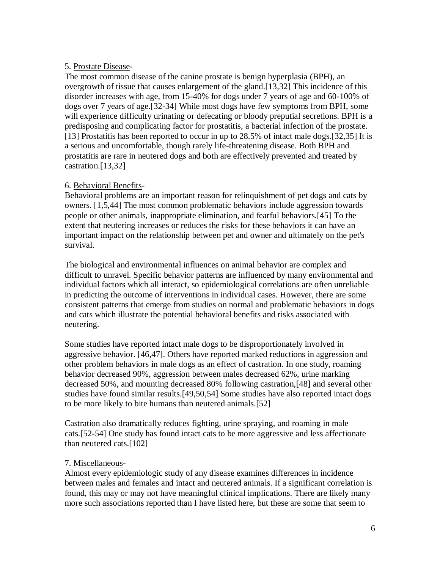#### 5. Prostate Disease-

The most common disease of the canine prostate is benign hyperplasia (BPH), an overgrowth of tissue that causes enlargement of the gland.[13,32] This incidence of this disorder increases with age, from 15-40% for dogs under 7 years of age and 60-100% of dogs over 7 years of age.[32-34] While most dogs have few symptoms from BPH, some will experience difficulty urinating or defecating or bloody preputial secretions. BPH is a predisposing and complicating factor for prostatitis, a bacterial infection of the prostate. [13] Prostatitis has been reported to occur in up to 28.5% of intact male dogs.[32,35] It is a serious and uncomfortable, though rarely life-threatening disease. Both BPH and prostatitis are rare in neutered dogs and both are effectively prevented and treated by castration.[13,32]

## 6. Behavioral Benefits-

Behavioral problems are an important reason for relinquishment of pet dogs and cats by owners. [1,5,44] The most common problematic behaviors include aggression towards people or other animals, inappropriate elimination, and fearful behaviors.[45] To the extent that neutering increases or reduces the risks for these behaviors it can have an important impact on the relationship between pet and owner and ultimately on the pet's survival.

The biological and environmental influences on animal behavior are complex and difficult to unravel. Specific behavior patterns are influenced by many environmental and individual factors which all interact, so epidemiological correlations are often unreliable in predicting the outcome of interventions in individual cases. However, there are some consistent patterns that emerge from studies on normal and problematic behaviors in dogs and cats which illustrate the potential behavioral benefits and risks associated with neutering.

Some studies have reported intact male dogs to be disproportionately involved in aggressive behavior. [46,47]. Others have reported marked reductions in aggression and other problem behaviors in male dogs as an effect of castration. In one study, roaming behavior decreased 90%, aggression between males decreased 62%, urine marking decreased 50%, and mounting decreased 80% following castration,[48] and several other studies have found similar results.[49,50,54] Some studies have also reported intact dogs to be more likely to bite humans than neutered animals.[52]

Castration also dramatically reduces fighting, urine spraying, and roaming in male cats.[52-54] One study has found intact cats to be more aggressive and less affectionate than neutered cats.[102]

## 7. Miscellaneous-

Almost every epidemiologic study of any disease examines differences in incidence between males and females and intact and neutered animals. If a significant correlation is found, this may or may not have meaningful clinical implications. There are likely many more such associations reported than I have listed here, but these are some that seem to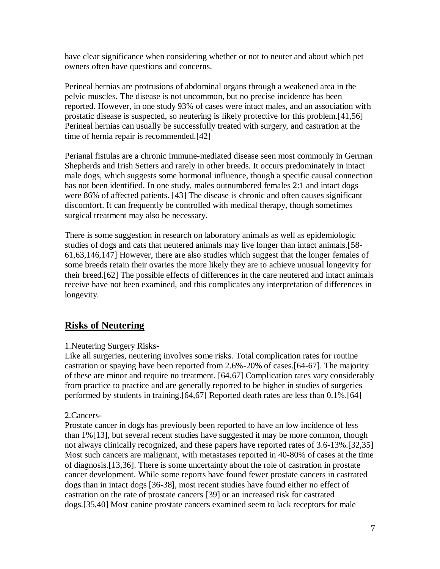have clear significance when considering whether or not to neuter and about which pet owners often have questions and concerns.

Perineal hernias are protrusions of abdominal organs through a weakened area in the pelvic muscles. The disease is not uncommon, but no precise incidence has been reported. However, in one study 93% of cases were intact males, and an association with prostatic disease is suspected, so neutering is likely protective for this problem.[41,56] Perineal hernias can usually be successfully treated with surgery, and castration at the time of hernia repair is recommended.[42]

Perianal fistulas are a chronic immune-mediated disease seen most commonly in German Shepherds and Irish Setters and rarely in other breeds. It occurs predominately in intact male dogs, which suggests some hormonal influence, though a specific causal connection has not been identified. In one study, males outnumbered females 2:1 and intact dogs were 86% of affected patients. [43] The disease is chronic and often causes significant discomfort. It can frequently be controlled with medical therapy, though sometimes surgical treatment may also be necessary.

There is some suggestion in research on laboratory animals as well as epidemiologic studies of dogs and cats that neutered animals may live longer than intact animals.[58- 61,63,146,147] However, there are also studies which suggest that the longer females of some breeds retain their ovaries the more likely they are to achieve unusual longevity for their breed.[62] The possible effects of differences in the care neutered and intact animals receive have not been examined, and this complicates any interpretation of differences in longevity.

# **Risks of Neutering**

## 1.Neutering Surgery Risks-

Like all surgeries, neutering involves some risks. Total complication rates for routine castration or spaying have been reported from 2.6%-20% of cases.[64-67]. The majority of these are minor and require no treatment. [64,67] Complication rates vary considerably from practice to practice and are generally reported to be higher in studies of surgeries performed by students in training.[64,67] Reported death rates are less than 0.1%.[64]

## 2.Cancers-

Prostate cancer in dogs has previously been reported to have an low incidence of less than 1%[13], but several recent studies have suggested it may be more common, though not always clinically recognized, and these papers have reported rates of 3.6-13%.[32,35] Most such cancers are malignant, with metastases reported in 40-80% of cases at the time of diagnosis.[13,36]. There is some uncertainty about the role of castration in prostate cancer development. While some reports have found fewer prostate cancers in castrated dogs than in intact dogs [36-38], most recent studies have found either no effect of castration on the rate of prostate cancers [39] or an increased risk for castrated dogs.[35,40] Most canine prostate cancers examined seem to lack receptors for male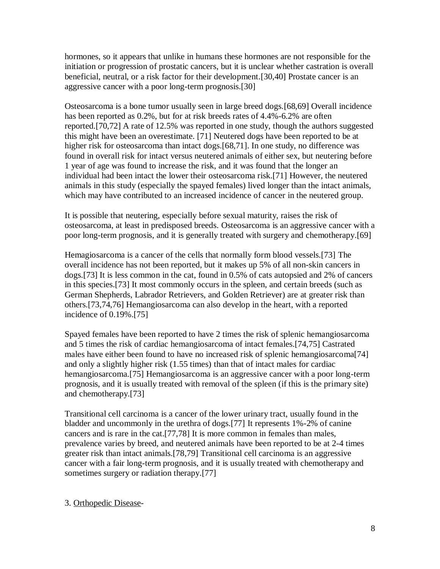hormones, so it appears that unlike in humans these hormones are not responsible for the initiation or progression of prostatic cancers, but it is unclear whether castration is overall beneficial, neutral, or a risk factor for their development.[30,40] Prostate cancer is an aggressive cancer with a poor long-term prognosis.[30]

Osteosarcoma is a bone tumor usually seen in large breed dogs.[68,69] Overall incidence has been reported as 0.2%, but for at risk breeds rates of 4.4%-6.2% are often reported.[70,72] A rate of 12.5% was reported in one study, though the authors suggested this might have been an overestimate. [71] Neutered dogs have been reported to be at higher risk for osteosarcoma than intact dogs.[68,71]. In one study, no difference was found in overall risk for intact versus neutered animals of either sex, but neutering before 1 year of age was found to increase the risk, and it was found that the longer an individual had been intact the lower their osteosarcoma risk.[71] However, the neutered animals in this study (especially the spayed females) lived longer than the intact animals, which may have contributed to an increased incidence of cancer in the neutered group.

It is possible that neutering, especially before sexual maturity, raises the risk of osteosarcoma, at least in predisposed breeds. Osteosarcoma is an aggressive cancer with a poor long-term prognosis, and it is generally treated with surgery and chemotherapy.[69]

Hemagiosarcoma is a cancer of the cells that normally form blood vessels.[73] The overall incidence has not been reported, but it makes up 5% of all non-skin cancers in dogs.[73] It is less common in the cat, found in 0.5% of cats autopsied and 2% of cancers in this species.[73] It most commonly occurs in the spleen, and certain breeds (such as German Shepherds, Labrador Retrievers, and Golden Retriever) are at greater risk than others.[73,74,76] Hemangiosarcoma can also develop in the heart, with a reported incidence of 0.19%.[75]

Spayed females have been reported to have 2 times the risk of splenic hemangiosarcoma and 5 times the risk of cardiac hemangiosarcoma of intact females.[74,75] Castrated males have either been found to have no increased risk of splenic hemangiosarcoma[74] and only a slightly higher risk (1.55 times) than that of intact males for cardiac hemangiosarcoma.[75] Hemangiosarcoma is an aggressive cancer with a poor long-term prognosis, and it is usually treated with removal of the spleen (if this is the primary site) and chemotherapy.[73]

Transitional cell carcinoma is a cancer of the lower urinary tract, usually found in the bladder and uncommonly in the urethra of dogs.[77] It represents 1%-2% of canine cancers and is rare in the cat.[77,78] It is more common in females than males, prevalence varies by breed, and neutered animals have been reported to be at 2-4 times greater risk than intact animals.[78,79] Transitional cell carcinoma is an aggressive cancer with a fair long-term prognosis, and it is usually treated with chemotherapy and sometimes surgery or radiation therapy.[77]

#### 3. Orthopedic Disease-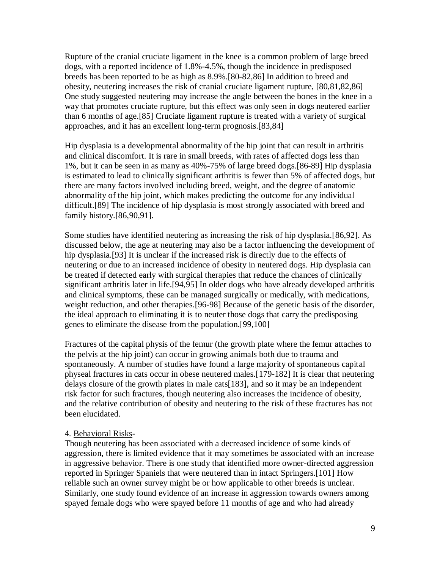Rupture of the cranial cruciate ligament in the knee is a common problem of large breed dogs, with a reported incidence of 1.8%-4.5%, though the incidence in predisposed breeds has been reported to be as high as 8.9%.[80-82,86] In addition to breed and obesity, neutering increases the risk of cranial cruciate ligament rupture, [80,81,82,86] One study suggested neutering may increase the angle between the bones in the knee in a way that promotes cruciate rupture, but this effect was only seen in dogs neutered earlier than 6 months of age.[85] Cruciate ligament rupture is treated with a variety of surgical approaches, and it has an excellent long-term prognosis.[83,84]

Hip dysplasia is a developmental abnormality of the hip joint that can result in arthritis and clinical discomfort. It is rare in small breeds, with rates of affected dogs less than 1%, but it can be seen in as many as 40%-75% of large breed dogs.[86-89] Hip dysplasia is estimated to lead to clinically significant arthritis is fewer than 5% of affected dogs, but there are many factors involved including breed, weight, and the degree of anatomic abnormality of the hip joint, which makes predicting the outcome for any individual difficult.[89] The incidence of hip dysplasia is most strongly associated with breed and family history.[86,90,91].

Some studies have identified neutering as increasing the risk of hip dysplasia.[86,92]. As discussed below, the age at neutering may also be a factor influencing the development of hip dysplasia.[93] It is unclear if the increased risk is directly due to the effects of neutering or due to an increased incidence of obesity in neutered dogs. Hip dysplasia can be treated if detected early with surgical therapies that reduce the chances of clinically significant arthritis later in life.[94,95] In older dogs who have already developed arthritis and clinical symptoms, these can be managed surgically or medically, with medications, weight reduction, and other therapies.[96-98] Because of the genetic basis of the disorder, the ideal approach to eliminating it is to neuter those dogs that carry the predisposing genes to eliminate the disease from the population.[99,100]

Fractures of the capital physis of the femur (the growth plate where the femur attaches to the pelvis at the hip joint) can occur in growing animals both due to trauma and spontaneously. A number of studies have found a large majority of spontaneous capital physeal fractures in cats occur in obese neutered males.[179-182] It is clear that neutering delays closure of the growth plates in male cats[183], and so it may be an independent risk factor for such fractures, though neutering also increases the incidence of obesity, and the relative contribution of obesity and neutering to the risk of these fractures has not been elucidated.

#### 4. Behavioral Risks-

Though neutering has been associated with a decreased incidence of some kinds of aggression, there is limited evidence that it may sometimes be associated with an increase in aggressive behavior. There is one study that identified more owner-directed aggression reported in Springer Spaniels that were neutered than in intact Springers.[101] How reliable such an owner survey might be or how applicable to other breeds is unclear. Similarly, one study found evidence of an increase in aggression towards owners among spayed female dogs who were spayed before 11 months of age and who had already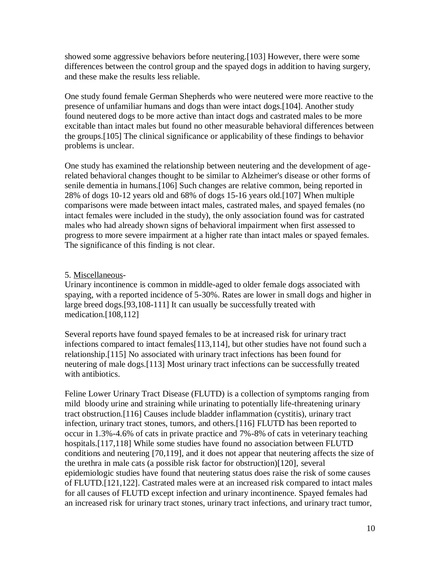showed some aggressive behaviors before neutering.[103] However, there were some differences between the control group and the spayed dogs in addition to having surgery, and these make the results less reliable.

One study found female German Shepherds who were neutered were more reactive to the presence of unfamiliar humans and dogs than were intact dogs.[104]. Another study found neutered dogs to be more active than intact dogs and castrated males to be more excitable than intact males but found no other measurable behavioral differences between the groups.[105] The clinical significance or applicability of these findings to behavior problems is unclear.

One study has examined the relationship between neutering and the development of agerelated behavioral changes thought to be similar to Alzheimer's disease or other forms of senile dementia in humans.[106] Such changes are relative common, being reported in 28% of dogs 10-12 years old and 68% of dogs 15-16 years old.[107] When multiple comparisons were made between intact males, castrated males, and spayed females (no intact females were included in the study), the only association found was for castrated males who had already shown signs of behavioral impairment when first assessed to progress to more severe impairment at a higher rate than intact males or spayed females. The significance of this finding is not clear.

### 5. Miscellaneous-

Urinary incontinence is common in middle-aged to older female dogs associated with spaying, with a reported incidence of 5-30%. Rates are lower in small dogs and higher in large breed dogs.[93,108-111] It can usually be successfully treated with medication.[108,112]

Several reports have found spayed females to be at increased risk for urinary tract infections compared to intact females[113,114], but other studies have not found such a relationship.[115] No associated with urinary tract infections has been found for neutering of male dogs.[113] Most urinary tract infections can be successfully treated with antibiotics.

Feline Lower Urinary Tract Disease (FLUTD) is a collection of symptoms ranging from mild bloody urine and straining while urinating to potentially life-threatening urinary tract obstruction.[116] Causes include bladder inflammation (cystitis), urinary tract infection, urinary tract stones, tumors, and others.[116] FLUTD has been reported to occur in 1.3%-4.6% of cats in private practice and 7%-8% of cats in veterinary teaching hospitals.[117,118] While some studies have found no association between FLUTD conditions and neutering [70,119], and it does not appear that neutering affects the size of the urethra in male cats (a possible risk factor for obstruction)[120], several epidemiologic studies have found that neutering status does raise the risk of some causes of FLUTD.[121,122]. Castrated males were at an increased risk compared to intact males for all causes of FLUTD except infection and urinary incontinence. Spayed females had an increased risk for urinary tract stones, urinary tract infections, and urinary tract tumor,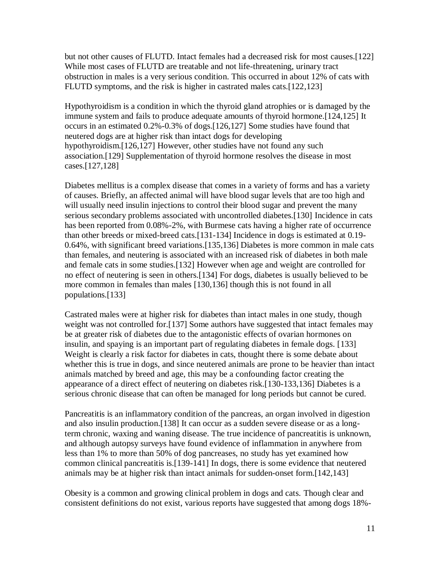but not other causes of FLUTD. Intact females had a decreased risk for most causes.[122] While most cases of FLUTD are treatable and not life-threatening, urinary tract obstruction in males is a very serious condition. This occurred in about 12% of cats with FLUTD symptoms, and the risk is higher in castrated males cats.[122,123]

Hypothyroidism is a condition in which the thyroid gland atrophies or is damaged by the immune system and fails to produce adequate amounts of thyroid hormone.[124,125] It occurs in an estimated 0.2%-0.3% of dogs.[126,127] Some studies have found that neutered dogs are at higher risk than intact dogs for developing hypothyroidism.[126,127] However, other studies have not found any such association.[129] Supplementation of thyroid hormone resolves the disease in most cases.[127,128]

Diabetes mellitus is a complex disease that comes in a variety of forms and has a variety of causes. Briefly, an affected animal will have blood sugar levels that are too high and will usually need insulin injections to control their blood sugar and prevent the many serious secondary problems associated with uncontrolled diabetes.[130] Incidence in cats has been reported from 0.08%-2%, with Burmese cats having a higher rate of occurrence than other breeds or mixed-breed cats.[131-134] Incidence in dogs is estimated at 0.19- 0.64%, with significant breed variations.[135,136] Diabetes is more common in male cats than females, and neutering is associated with an increased risk of diabetes in both male and female cats in some studies.[132] However when age and weight are controlled for no effect of neutering is seen in others.[134] For dogs, diabetes is usually believed to be more common in females than males [130,136] though this is not found in all populations.[133]

Castrated males were at higher risk for diabetes than intact males in one study, though weight was not controlled for.<sup>[137]</sup> Some authors have suggested that intact females may be at greater risk of diabetes due to the antagonistic effects of ovarian hormones on insulin, and spaying is an important part of regulating diabetes in female dogs. [133] Weight is clearly a risk factor for diabetes in cats, thought there is some debate about whether this is true in dogs, and since neutered animals are prone to be heavier than intact animals matched by breed and age, this may be a confounding factor creating the appearance of a direct effect of neutering on diabetes risk.[130-133,136] Diabetes is a serious chronic disease that can often be managed for long periods but cannot be cured.

Pancreatitis is an inflammatory condition of the pancreas, an organ involved in digestion and also insulin production.[138] It can occur as a sudden severe disease or as a longterm chronic, waxing and waning disease. The true incidence of pancreatitis is unknown, and although autopsy surveys have found evidence of inflammation in anywhere from less than 1% to more than 50% of dog pancreases, no study has yet examined how common clinical pancreatitis is.[139-141] In dogs, there is some evidence that neutered animals may be at higher risk than intact animals for sudden-onset form.[142,143]

Obesity is a common and growing clinical problem in dogs and cats. Though clear and consistent definitions do not exist, various reports have suggested that among dogs 18%-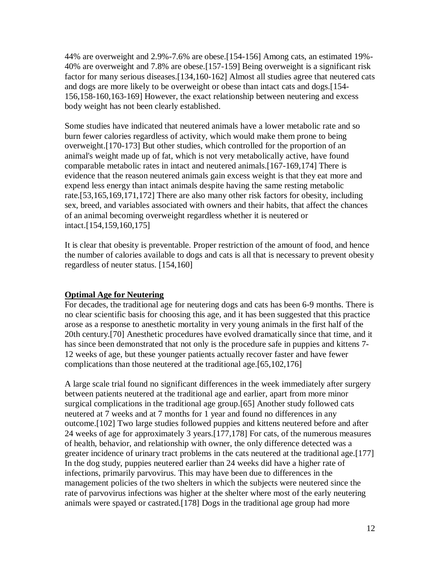44% are overweight and 2.9%-7.6% are obese.[154-156] Among cats, an estimated 19%- 40% are overweight and 7.8% are obese.[157-159] Being overweight is a significant risk factor for many serious diseases.[134,160-162] Almost all studies agree that neutered cats and dogs are more likely to be overweight or obese than intact cats and dogs.[154- 156,158-160,163-169] However, the exact relationship between neutering and excess body weight has not been clearly established.

Some studies have indicated that neutered animals have a lower metabolic rate and so burn fewer calories regardless of activity, which would make them prone to being overweight.[170-173] But other studies, which controlled for the proportion of an animal's weight made up of fat, which is not very metabolically active, have found comparable metabolic rates in intact and neutered animals.[167-169,174] There is evidence that the reason neutered animals gain excess weight is that they eat more and expend less energy than intact animals despite having the same resting metabolic rate.[53,165,169,171,172] There are also many other risk factors for obesity, including sex, breed, and variables associated with owners and their habits, that affect the chances of an animal becoming overweight regardless whether it is neutered or intact.[154,159,160,175]

It is clear that obesity is preventable. Proper restriction of the amount of food, and hence the number of calories available to dogs and cats is all that is necessary to prevent obesity regardless of neuter status. [154,160]

## **Optimal Age for Neutering**

For decades, the traditional age for neutering dogs and cats has been 6-9 months. There is no clear scientific basis for choosing this age, and it has been suggested that this practice arose as a response to anesthetic mortality in very young animals in the first half of the 20th century.[70] Anesthetic procedures have evolved dramatically since that time, and it has since been demonstrated that not only is the procedure safe in puppies and kittens 7- 12 weeks of age, but these younger patients actually recover faster and have fewer complications than those neutered at the traditional age.[65,102,176]

A large scale trial found no significant differences in the week immediately after surgery between patients neutered at the traditional age and earlier, apart from more minor surgical complications in the traditional age group.[65] Another study followed cats neutered at 7 weeks and at 7 months for 1 year and found no differences in any outcome.[102] Two large studies followed puppies and kittens neutered before and after 24 weeks of age for approximately 3 years.[177,178] For cats, of the numerous measures of health, behavior, and relationship with owner, the only difference detected was a greater incidence of urinary tract problems in the cats neutered at the traditional age.[177] In the dog study, puppies neutered earlier than 24 weeks did have a higher rate of infections, primarily parvovirus. This may have been due to differences in the management policies of the two shelters in which the subjects were neutered since the rate of parvovirus infections was higher at the shelter where most of the early neutering animals were spayed or castrated.[178] Dogs in the traditional age group had more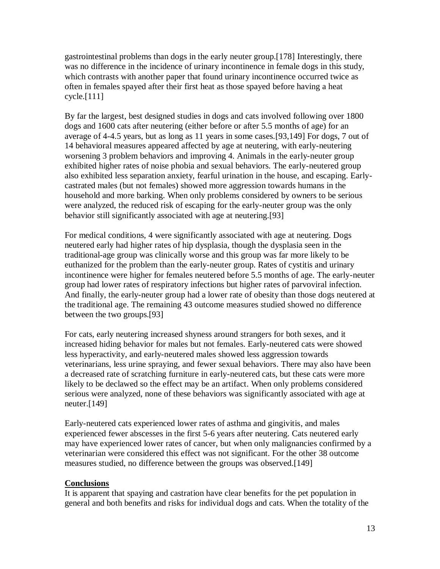gastrointestinal problems than dogs in the early neuter group.[178] Interestingly, there was no difference in the incidence of urinary incontinence in female dogs in this study, which contrasts with another paper that found urinary incontinence occurred twice as often in females spayed after their first heat as those spayed before having a heat cycle.[111]

By far the largest, best designed studies in dogs and cats involved following over 1800 dogs and 1600 cats after neutering (either before or after 5.5 months of age) for an average of 4-4.5 years, but as long as 11 years in some cases.[93,149] For dogs, 7 out of 14 behavioral measures appeared affected by age at neutering, with early-neutering worsening 3 problem behaviors and improving 4. Animals in the early-neuter group exhibited higher rates of noise phobia and sexual behaviors. The early-neutered group also exhibited less separation anxiety, fearful urination in the house, and escaping. Earlycastrated males (but not females) showed more aggression towards humans in the household and more barking. When only problems considered by owners to be serious were analyzed, the reduced risk of escaping for the early-neuter group was the only behavior still significantly associated with age at neutering.[93]

For medical conditions, 4 were significantly associated with age at neutering. Dogs neutered early had higher rates of hip dysplasia, though the dysplasia seen in the traditional-age group was clinically worse and this group was far more likely to be euthanized for the problem than the early-neuter group. Rates of cystitis and urinary incontinence were higher for females neutered before 5.5 months of age. The early-neuter group had lower rates of respiratory infections but higher rates of parvoviral infection. And finally, the early-neuter group had a lower rate of obesity than those dogs neutered at the traditional age. The remaining 43 outcome measures studied showed no difference between the two groups.[93]

For cats, early neutering increased shyness around strangers for both sexes, and it increased hiding behavior for males but not females. Early-neutered cats were showed less hyperactivity, and early-neutered males showed less aggression towards veterinarians, less urine spraying, and fewer sexual behaviors. There may also have been a decreased rate of scratching furniture in early-neutered cats, but these cats were more likely to be declawed so the effect may be an artifact. When only problems considered serious were analyzed, none of these behaviors was significantly associated with age at neuter.[149]

Early-neutered cats experienced lower rates of asthma and gingivitis, and males experienced fewer abscesses in the first 5-6 years after neutering. Cats neutered early may have experienced lower rates of cancer, but when only malignancies confirmed by a veterinarian were considered this effect was not significant. For the other 38 outcome measures studied, no difference between the groups was observed.[149]

#### **Conclusions**

It is apparent that spaying and castration have clear benefits for the pet population in general and both benefits and risks for individual dogs and cats. When the totality of the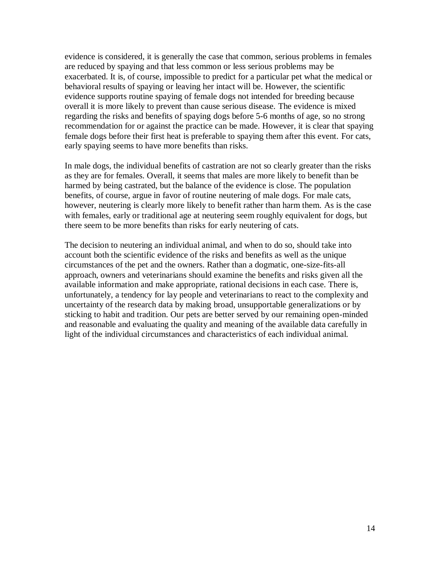evidence is considered, it is generally the case that common, serious problems in females are reduced by spaying and that less common or less serious problems may be exacerbated. It is, of course, impossible to predict for a particular pet what the medical or behavioral results of spaying or leaving her intact will be. However, the scientific evidence supports routine spaying of female dogs not intended for breeding because overall it is more likely to prevent than cause serious disease. The evidence is mixed regarding the risks and benefits of spaying dogs before 5-6 months of age, so no strong recommendation for or against the practice can be made. However, it is clear that spaying female dogs before their first heat is preferable to spaying them after this event. For cats, early spaying seems to have more benefits than risks.

In male dogs, the individual benefits of castration are not so clearly greater than the risks as they are for females. Overall, it seems that males are more likely to benefit than be harmed by being castrated, but the balance of the evidence is close. The population benefits, of course, argue in favor of routine neutering of male dogs. For male cats, however, neutering is clearly more likely to benefit rather than harm them. As is the case with females, early or traditional age at neutering seem roughly equivalent for dogs, but there seem to be more benefits than risks for early neutering of cats.

The decision to neutering an individual animal, and when to do so, should take into account both the scientific evidence of the risks and benefits as well as the unique circumstances of the pet and the owners. Rather than a dogmatic, one-size-fits-all approach, owners and veterinarians should examine the benefits and risks given all the available information and make appropriate, rational decisions in each case. There is, unfortunately, a tendency for lay people and veterinarians to react to the complexity and uncertainty of the research data by making broad, unsupportable generalizations or by sticking to habit and tradition. Our pets are better served by our remaining open-minded and reasonable and evaluating the quality and meaning of the available data carefully in light of the individual circumstances and characteristics of each individual animal.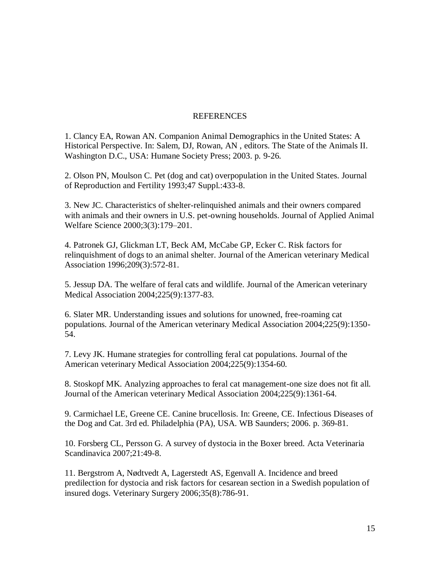#### REFERENCES

1. Clancy EA, Rowan AN. Companion Animal Demographics in the United States: A Historical Perspective. In: Salem, DJ, Rowan, AN , editors. The State of the Animals II. Washington D.C., USA: Humane Society Press; 2003. p. 9-26.

2. Olson PN, Moulson C. Pet (dog and cat) overpopulation in the United States. [Journal](javascript:AL_get(this,%20) of Reproduction and Fertility 1993;47 Suppl.:433-8.

3. New JC. Characteristics of shelter-relinquished animals and their owners compared with animals and their owners in U.S. pet-owning households. Journal of Applied Animal Welfare Science 2000;3(3):179–201.

4. Patronek GJ, Glickman LT, Beck AM, McCabe GP, Ecker C. Risk factors for relinquishment of dogs to an animal shelter. Journal of the American veterinary Medical Association 1996;209(3):572-81.

5. Jessup DA. The welfare of feral cats and wildlife. Journal of the American veterinary Medical Association 2004;225(9):1377-83.

6. Slater MR. Understanding issues and solutions for unowned, free-roaming cat populations. Journal of the American veterinary Medical Association 2004;225(9):1350- 54.

7. Levy JK. Humane strategies for controlling feral cat populations. Journal of the American veterinary Medical Association 2004;225(9):1354-60.

8. Stoskopf MK. Analyzing approaches to feral cat management-one size does not fit all. Journal of the American veterinary Medical Association 2004;225(9):1361-64.

9. Carmichael LE, Greene CE. Canine brucellosis. In: Greene, CE. Infectious Diseases of the Dog and Cat. 3rd ed. Philadelphia (PA), USA. WB Saunders; 2006. p. 369-81.

10. Forsberg CL, Persson G. A survey of dystocia in the Boxer breed. [Acta](javascript:AL_get(this,%20) Veterinaria Scandinavica 2007;21:49-8.

11. Bergstrom A, Nødtvedt A, Lagerstedt AS, Egenvall A. Incidence and breed predilection for dystocia and risk factors for cesarean section in a Swedish population of insured dogs. Veterinary Surgery 2006;35(8):786-91.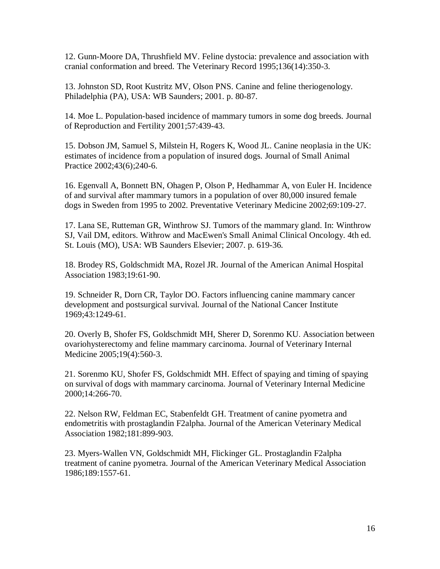12. Gunn-Moore DA, Thrushfield MV. Feline dystocia: prevalence and association with cranial conformation and breed. The Veterinary Record 1995;136(14):350-3.

13. Johnston SD, Root Kustritz MV, Olson PNS. Canine and feline theriogenology. Philadelphia (PA), USA: WB Saunders; 2001. p. 80-87.

14. Moe L. Population-based incidence of mammary tumors in some dog breeds. [Journal](javascript:AL_get(this,%20) of Reproduction and Fertility 2001;57:439-43.

15. Dobson JM, Samuel S, Milstein H, Rogers K, Wood JL. Canine neoplasia in the UK: estimates of incidence from a population of insured dogs. Journal of Small Animal Practice 2002;43(6);240-6.

16. Egenvall A, Bonnett BN, Ohagen P, Olson P, Hedhammar A, von Euler H. Incidence of and survival after mammary tumors in a population of over 80,000 insured female dogs in Sweden from 1995 to 2002. Preventative Veterinary Medicine 2002;69:109-27.

17. Lana SE, Rutteman GR, Winthrow SJ. Tumors of the mammary gland. In: Winthrow SJ, Vail DM, editors. Withrow and MacEwen's Small Animal Clinical Oncology. 4th ed. St. Louis (MO), USA: WB Saunders Elsevier; 2007. p. 619-36.

18. Brodey RS, Goldschmidt MA, Rozel JR. Journal of the American Animal Hospital Association 1983;19:61-90.

19. Schneider R, Dorn CR, Taylor DO. Factors influencing canine mammary cancer development and postsurgical survival. Journal of the National Cancer Institute 1969;43:1249-61.

20. Overly B, Shofer FS, Goldschmidt MH, Sherer D, Sorenmo KU. Association between ovariohysterectomy and feline mammary carcinoma. Journal of Veterinary Internal Medicine 2005;19(4):560-3.

21. Sorenmo KU, Shofer FS, Goldschmidt MH. Effect of spaying and timing of spaying on survival of dogs with mammary carcinoma. Journal of Veterinary Internal Medicine 2000;14:266-70.

22. Nelson RW, Feldman EC, Stabenfeldt GH. Treatment of canine pyometra and endometritis with prostaglandin F2alpha. Journal of the American Veterinary Medical Association 1982;181:899-903.

23. Myers-Wallen VN, Goldschmidt MH, Flickinger GL. Prostaglandin F2alpha treatment of canine pyometra. Journal of the American Veterinary Medical Association 1986;189:1557-61.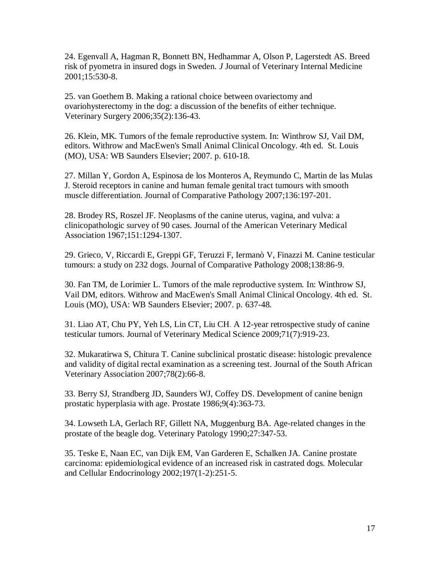24. Egenvall A, Hagman R, Bonnett BN, Hedhammar A, Olson P, Lagerstedt AS. Breed risk of pyometra in insured dogs in Sweden. *J* Journal of Veterinary Internal Medicine 2001;15:530-8.

25. [van Goethem B.](http://www.ncbi.nlm.nih.gov/pubmed?term=%22van%20Goethem%20B%22%5BAuthor%5D&itool=EntrezSystem2.PEntrez.Pubmed.Pubmed_ResultsPanel.Pubmed_RVAbstract) Making a rational choice between ovariectomy and ovariohysterectomy in the dog: a discussion of the benefits of either technique. [Veterinary](javascript:AL_get(this,%20) Surgery 2006;35(2):136-43.

26. Klein, MK. Tumors of the female reproductive system. In: Winthrow SJ, Vail DM, editors. Withrow and MacEwen's Small Animal Clinical Oncology. 4th ed. St. Louis (MO), USA: WB Saunders Elsevier; 2007. p. 610-18.

27. Millan Y, Gordon A, Espinosa de los Monteros A, Reymundo C, Martin de las Mulas J. Steroid receptors in canine and human female genital tract tumours with smooth muscle differentiation. Journal of Comparative Pathology 2007;136:197-201.

28. Brodey RS, Roszel JF. Neoplasms of the canine uterus, vagina, and vulva: a clinicopathologic survey of 90 cases. Journal of the American Veterinary Medical Association 1967;151:1294-1307.

29. Grieco, V, Riccardi E, Greppi GF, Teruzzi F, Iermanò V, Finazzi M. Canine testicular tumours: a study on 232 dogs. Journal of Comparative Pathology 2008;138:86-9.

30. Fan TM, de Lorimier L. Tumors of the male reproductive system. In: Winthrow SJ, Vail DM, editors. Withrow and MacEwen's Small Animal Clinical Oncology. 4th ed. St. Louis (MO), USA: WB Saunders Elsevier; 2007. p. 637-48.

31. Liao AT, Chu PY, Yeh LS, Lin CT, Liu CH. A 12-year retrospective study of canine testicular tumors. Journal of Veterinary Medical Science 2009;71(7):919-23.

32. Mukaratirwa S, Chitura T. Canine subclinical prostatic disease: histologic prevalence and validity of digital rectal examination as a screening test. Journal of the South African Veterinary Association 2007;78(2):66-8.

33. Berry SJ, Strandberg JD, Saunders WJ, Coffey DS. Development of canine benign prostatic hyperplasia with age. Prostate 1986;9(4):363-73.

34. Lowseth LA, Gerlach RF, Gillett NA, Muggenburg BA. Age-related changes in the prostate of the beagle dog. Veterinary Patology 1990;27:347-53.

35. Teske E, Naan EC, van Dijk EM, Van Garderen E, Schalken JA. Canine prostate carcinoma: epidemiological evidence of an increased risk in castrated dogs. Molecular and Cellular Endocrinology 2002;197(1-2):251-5.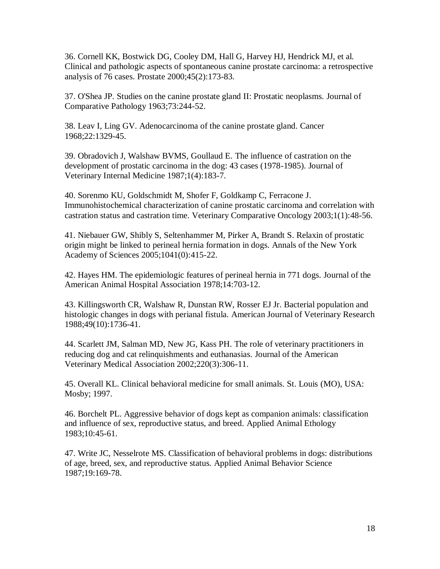36. Cornell KK, Bostwick DG, Cooley DM, Hall G, Harvey HJ, Hendrick MJ, et al. Clinical and pathologic aspects of spontaneous canine prostate carcinoma: a retrospective analysis of 76 cases. Prostate 2000;45(2):173-83.

37. O'Shea JP. Studies on the canine prostate gland II: Prostatic neoplasms. Journal of Comparative Pathology 1963;73:244-52.

38. Leav I, Ling GV. Adenocarcinoma of the canine prostate gland. Cancer 1968;22:1329-45.

39. Obradovich J, Walshaw BVMS, Goullaud E. The influence of castration on the development of prostatic carcinoma in the dog: 43 cases (1978-1985). Journal of Veterinary Internal Medicine 1987;1(4):183-7.

40. Sorenmo KU, Goldschmidt M, Shofer F, Goldkamp C, Ferracone J. Immunohistochemical characterization of canine prostatic carcinoma and correlation with castration status and castration time. Veterinary Comparative Oncology 2003;1(1):48-56.

41. Niebauer GW, Shibly S, Seltenhammer M, Pirker A, Brandt S. Relaxin of prostatic origin might be linked to perineal hernia formation in dogs. Annals of the New York Academy of Sciences 2005;1041(0):415-22.

42. Hayes HM. The epidemiologic features of perineal hernia in 771 dogs. Journal of the American Animal Hospital Association 1978;14:703-12.

43. Killingsworth CR, Walshaw R, Dunstan RW, Rosser EJ Jr. Bacterial population and histologic changes in dogs with perianal fistula. American Journal of Veterinary Research 1988;49(10):1736-41.

44. Scarlett JM, Salman MD, New JG, Kass PH. The role of veterinary practitioners in reducing dog and cat relinquishments and euthanasias. Journal of the American Veterinary Medical Association 2002;220(3):306-11.

45. Overall KL. Clinical behavioral medicine for small animals. St. Louis (MO), USA: Mosby; 1997.

46. Borchelt PL. Aggressive behavior of dogs kept as companion animals: classification and influence of sex, reproductive status, and breed. Applied Animal Ethology 1983;10:45-61.

47. Write JC, Nesselrote MS. Classification of behavioral problems in dogs: distributions of age, breed, sex, and reproductive status. Applied Animal Behavior Science 1987;19:169-78.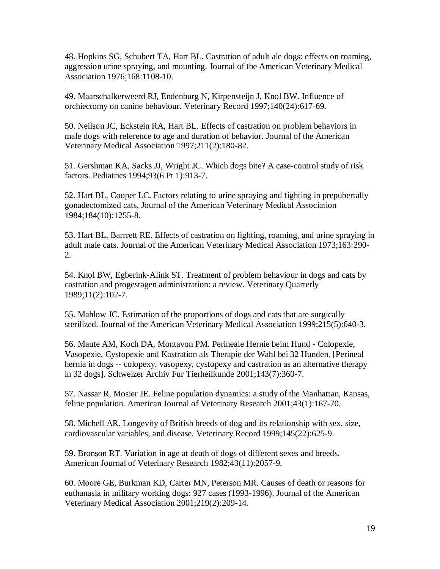48. Hopkins SG, Schubert TA, Hart BL. Castration of adult ale dogs: effects on roaming, aggression urine spraying, and mounting. Journal of the American Veterinary Medical Association 1976;168:1108-10.

49. Maarschalkerweerd RJ, Endenburg N, Kirpensteijn J, Knol BW. Influence of orchiectomy on canine behaviour. Veterinary Record 1997;140(24):617-69.

50. Neilson JC, Eckstein RA, Hart BL. Effects of castration on problem behaviors in male dogs with reference to age and duration of behavior. Journal of the American Veterinary Medical Association 1997;211(2):180-82.

51. [Gershman KA,](http://www.ncbi.nlm.nih.gov/pubmed?term=%22Gershman%20KA%22%5BAuthor%5D&itool=EntrezSystem2.PEntrez.Pubmed.Pubmed_ResultsPanel.Pubmed_RVAbstract) [Sacks JJ,](http://www.ncbi.nlm.nih.gov/pubmed?term=%22Sacks%20JJ%22%5BAuthor%5D&itool=EntrezSystem2.PEntrez.Pubmed.Pubmed_ResultsPanel.Pubmed_RVAbstract) [Wright JC.](http://www.ncbi.nlm.nih.gov/pubmed?term=%22Wright%20JC%22%5BAuthor%5D&itool=EntrezSystem2.PEntrez.Pubmed.Pubmed_ResultsPanel.Pubmed_RVAbstract) Which dogs bite? A case-control study of risk factors. [Pediatrics](javascript:AL_get(this,%20) 1994;93(6 Pt 1):913-7.

52. Hart BL, Cooper LC. Factors relating to urine spraying and fighting in prepubertally gonadectomized cats. Journal of the American Veterinary Medical Association 1984;184(10):1255-8.

53. Hart BL, Barrrett RE. Effects of castration on fighting, roaming, and urine spraying in adult male cats. Journal of the American Veterinary Medical Association 1973;163:290- 2.

54. Knol BW, Egberink-Alink ST. Treatment of problem behaviour in dogs and cats by castration and progestagen administration: a review. Veterinary Quarterly 1989;11(2):102-7.

55. Mahlow JC. Estimation of the proportions of dogs and cats that are surgically sterilized. Journal of the American Veterinary Medical Association 1999;215(5):640-3.

56. Maute AM, Koch DA, Montavon PM. Perineale Hernie beim Hund - Colopexie, Vasopexie, Cystopexie und Kastration als Therapie der Wahl bei 32 Hunden. [Perineal hernia in dogs -- colopexy, vasopexy, cystopexy and castration as an alternative therapy in 32 dogs]. Schweizer Archiv Fur Tierheilkunde 2001;143(7):360-7.

57. Nassar R, Mosier JE. Feline population dynamics: a study of the Manhattan, Kansas, feline population. American Journal of Veterinary Research 2001;43(1):167-70.

58. Michell AR. Longevity of British breeds of dog and its relationship with sex, size, cardiovascular variables, and disease. Veterinary Record 1999;145(22):625-9.

59. Bronson RT. Variation in age at death of dogs of different sexes and breeds. American Journal of Veterinary Research 1982;43(11):2057-9.

60. Moore GE, Burkman KD, Carter MN, Peterson MR. Causes of death or reasons for euthanasia in military working dogs: 927 cases (1993-1996). Journal of the American Veterinary Medical Association 2001;219(2):209-14.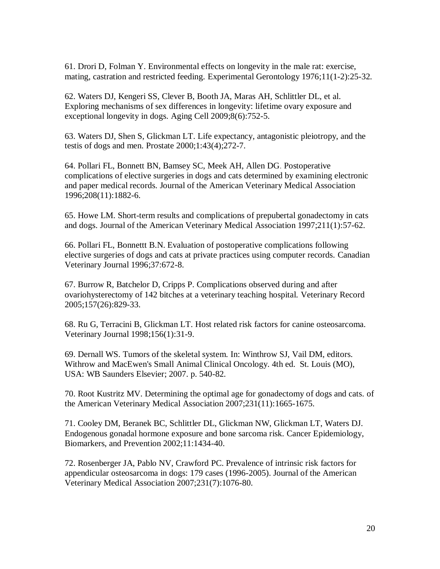61. [Drori D,](http://www.ncbi.nlm.nih.gov/pubmed?term=%22Drori%20D%22%5BAuthor%5D&itool=EntrezSystem2.PEntrez.Pubmed.Pubmed_ResultsPanel.Pubmed_RVAbstract) [Folman Y.](http://www.ncbi.nlm.nih.gov/pubmed?term=%22Folman%20Y%22%5BAuthor%5D&itool=EntrezSystem2.PEntrez.Pubmed.Pubmed_ResultsPanel.Pubmed_RVAbstract) Environmental effects on longevity in the male rat: exercise, mating, castration and restricted feeding. Experimental Gerontology 1976;11(1-2):25-32.

62. Waters DJ, Kengeri SS, Clever B, Booth JA, Maras AH, Schlittler DL, et al. Exploring mechanisms of sex differences in longevity: lifetime ovary exposure and exceptional longevity in dogs. Aging Cell 2009;8(6):752-5.

63. [Waters DJ,](http://www.ncbi.nlm.nih.gov/pubmed?term=%22Waters%20DJ%22%5BAuthor%5D&itool=EntrezSystem2.PEntrez.Pubmed.Pubmed_ResultsPanel.Pubmed_RVAbstract) [Shen S,](http://www.ncbi.nlm.nih.gov/pubmed?term=%22Shen%20S%22%5BAuthor%5D&itool=EntrezSystem2.PEntrez.Pubmed.Pubmed_ResultsPanel.Pubmed_RVAbstract) [Glickman LT.](http://www.ncbi.nlm.nih.gov/pubmed?term=%22Glickman%20LT%22%5BAuthor%5D&itool=EntrezSystem2.PEntrez.Pubmed.Pubmed_ResultsPanel.Pubmed_RVAbstract) Life expectancy, antagonistic pleiotropy, and the testis of dogs and men. [Prostate](javascript:AL_get(this,%20) 2000;1:43(4);272-7.

64. Pollari FL, Bonnett BN, Bamsey SC, Meek AH, Allen DG. Postoperative complications of elective surgeries in dogs and cats determined by examining electronic and paper medical records. Journal of the American Veterinary Medical Association 1996;208(11):1882-6.

65. Howe LM. Short-term results and complications of prepubertal gonadectomy in cats and dogs. Journal of the American Veterinary Medical Association 1997;211(1):57-62.

66. Pollari FL, Bonnettt B.N. Evaluation of postoperative complications following elective surgeries of dogs and cats at private practices using computer records. Canadian Veterinary Journal 1996;37:672-8.

67. Burrow R, Batchelor D, Cripps P. Complications observed during and after ovariohysterectomy of 142 bitches at a veterinary teaching hospital. Veterinary Record 2005;157(26):829-33.

68. Ru G, Terracini B, Glickman LT. Host related risk factors for canine osteosarcoma. Veterinary Journal 1998;156(1):31-9.

69. Dernall WS. Tumors of the skeletal system. In: Winthrow SJ, Vail DM, editors. Withrow and MacEwen's Small Animal Clinical Oncology. 4th ed. St. Louis (MO), USA: WB Saunders Elsevier; 2007. p. 540-82.

70. Root Kustritz MV. Determining the optimal age for gonadectomy of dogs and cats. of the American Veterinary Medical Association 2007;231(11):1665-1675.

71. Cooley DM, Beranek BC, Schlittler DL, Glickman NW, Glickman LT, Waters DJ. Endogenous gonadal hormone exposure and bone sarcoma risk. Cancer Epidemiology, Biomarkers, and Prevention 2002;11:1434-40.

72. Rosenberger JA, Pablo NV, Crawford PC. Prevalence of intrinsic risk factors for appendicular osteosarcoma in dogs: 179 cases (1996-2005). Journal of the American Veterinary Medical Association 2007;231(7):1076-80.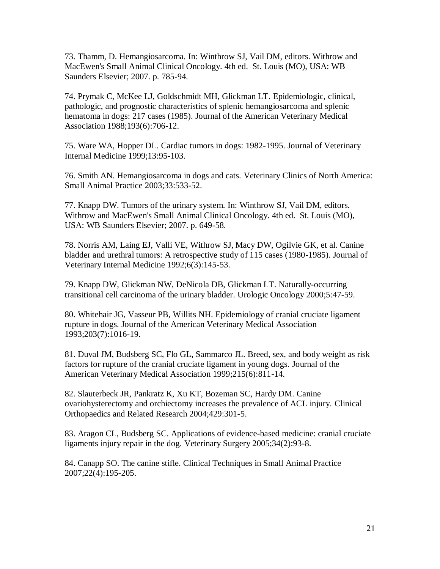73. Thamm, D. Hemangiosarcoma. In: Winthrow SJ, Vail DM, editors. Withrow and MacEwen's Small Animal Clinical Oncology. 4th ed. St. Louis (MO), USA: WB Saunders Elsevier; 2007. p. 785-94.

74. Prymak C, McKee LJ, Goldschmidt MH, Glickman LT. Epidemiologic, clinical, pathologic, and prognostic characteristics of splenic hemangiosarcoma and splenic hematoma in dogs: 217 cases (1985). Journal of the American Veterinary Medical Association 1988;193(6):706-12.

75. Ware WA, Hopper DL. Cardiac tumors in dogs: 1982-1995. Journal of Veterinary Internal Medicine 1999;13:95-103.

76. Smith AN. Hemangiosarcoma in dogs and cats. Veterinary Clinics of North America: Small Animal Practice 2003;33:533-52.

77. Knapp DW. Tumors of the urinary system. In: Winthrow SJ, Vail DM, editors. Withrow and MacEwen's Small Animal Clinical Oncology. 4th ed. St. Louis (MO), USA: WB Saunders Elsevier; 2007. p. 649-58.

78. Norris AM, Laing EJ, Valli VE, Withrow SJ, Macy DW, Ogilvie GK, et al. Canine bladder and urethral tumors: A retrospective study of 115 cases (1980-1985). Journal of Veterinary Internal Medicine 1992;6(3):145-53.

79. Knapp DW, Glickman NW, DeNicola DB, Glickman LT. Naturally-occurring transitional cell carcinoma of the urinary bladder. Urologic Oncology 2000;5:47-59.

80. Whitehair JG, Vasseur PB, Willits NH. Epidemiology of cranial cruciate ligament rupture in dogs. Journal of the American Veterinary Medical Association 1993;203(7):1016-19.

81. Duval JM, Budsberg SC, Flo GL, Sammarco JL. Breed, sex, and body weight as risk factors for rupture of the cranial cruciate ligament in young dogs. Journal of the American Veterinary Medical Association 1999;215(6):811-14.

82. Slauterbeck JR, Pankratz K, Xu KT, Bozeman SC, Hardy DM. Canine ovariohysterectomy and orchiectomy increases the prevalence of ACL injury. Clinical Orthopaedics and Related Research 2004;429:301-5.

83. Aragon CL, Budsberg SC. Applications of evidence-based medicine: cranial cruciate ligaments injury repair in the dog. Veterinary Surgery 2005;34(2):93-8.

84. Canapp SO. The canine stifle. Clinical Techniques in Small Animal Practice 2007;22(4):195-205.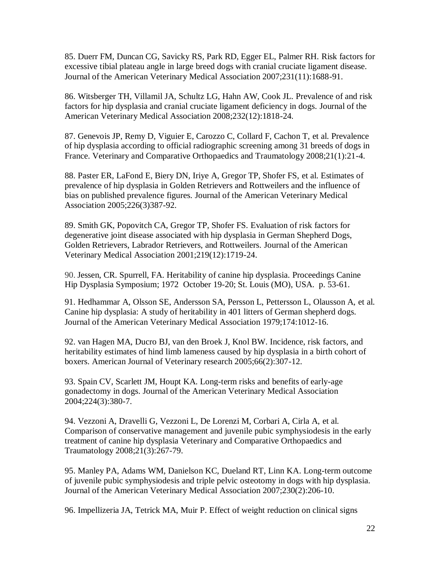85. Duerr FM, Duncan CG, Savicky RS, Park RD, Egger EL, Palmer RH. Risk factors for excessive tibial plateau angle in large breed dogs with cranial cruciate ligament disease. Journal of the American Veterinary Medical Association 2007;231(11):1688-91.

86. Witsberger TH, Villamil JA, Schultz LG, Hahn AW, Cook JL. Prevalence of and risk factors for hip dysplasia and cranial cruciate ligament deficiency in dogs. Journal of the American Veterinary Medical Association 2008;232(12):1818-24.

87. Genevois JP, Remy D, Viguier E, Carozzo C, Collard F, Cachon T, et al. Prevalence of hip dysplasia according to official radiographic screening among 31 breeds of dogs in France. Veterinary and Comparative Orthopaedics and Traumatology 2008;21(1):21-4.

88. Paster ER, LaFond E, Biery DN, Iriye A, Gregor TP, Shofer FS, et al. Estimates of prevalence of hip dysplasia in Golden Retrievers and Rottweilers and the influence of bias on published prevalence figures. Journal of the American Veterinary Medical Association 2005;226(3)387-92.

89. Smith GK, Popovitch CA, Gregor TP, Shofer FS. Evaluation of risk factors for degenerative joint disease associated with hip dysplasia in German Shepherd Dogs, Golden Retrievers, Labrador Retrievers, and Rottweilers. Journal of the American Veterinary Medical Association 2001;219(12):1719-24.

90. Jessen, CR. Spurrell, FA. Heritability of canine hip dysplasia. Proceedings Canine Hip Dysplasia Symposium; 1972 October 19-20; St. Louis (MO), USA. p. 53-61.

91. Hedhammar A, Olsson SE, Andersson SA, Persson L, Pettersson L, Olausson A, et al. Canine hip dysplasia: A study of heritability in 401 litters of German shepherd dogs. Journal of the American Veterinary Medical Association 1979;174:1012-16.

92. van Hagen MA, Ducro BJ, van den Broek J, Knol BW. Incidence, risk factors, and heritability estimates of hind limb lameness caused by hip dysplasia in a birth cohort of boxers. American Journal of Veterinary research 2005;66(2):307-12.

93. Spain CV, Scarlett JM, Houpt KA. Long-term risks and benefits of early-age gonadectomy in dogs. Journal of the American Veterinary Medical Association 2004;224(3):380-7.

94. Vezzoni A, Dravelli G, Vezzoni L, De Lorenzi M, Corbari A, Cirla A, et al. Comparison of conservative management and juvenile pubic symphysiodesis in the early treatment of canine hip dysplasia Veterinary and Comparative Orthopaedics and Traumatology 2008;21(3):267-79.

95. Manley PA, Adams WM, Danielson KC, Dueland RT, Linn KA. Long-term outcome of juvenile pubic symphysiodesis and triple pelvic osteotomy in dogs with hip dysplasia. Journal of the American Veterinary Medical Association 2007;230(2):206-10.

96. Impellizeria JA, Tetrick MA, Muir P. Effect of weight reduction on clinical signs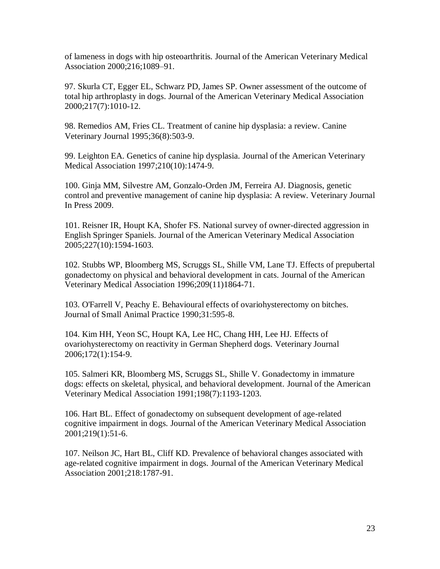of lameness in dogs with hip osteoarthritis. Journal of the American Veterinary Medical Association 2000;216;1089–91.

97. Skurla CT, Egger EL, Schwarz PD, James SP. Owner assessment of the outcome of total hip arthroplasty in dogs. Journal of the American Veterinary Medical Association 2000;217(7):1010-12.

98. [Remedios AM,](http://www.ncbi.nlm.nih.gov/pubmed?term=%22Remedios%20AM%22%5BAuthor%5D&itool=EntrezSystem2.PEntrez.Pubmed.Pubmed_ResultsPanel.Pubmed_RVAbstract) [Fries CL.](http://www.ncbi.nlm.nih.gov/pubmed?term=%22Fries%20CL%22%5BAuthor%5D&itool=EntrezSystem2.PEntrez.Pubmed.Pubmed_ResultsPanel.Pubmed_RVAbstract) Treatment of canine hip dysplasia: a review. Canine Veterinary Journal 1995;36(8):503-9.

99. [Leighton EA.](http://www.ncbi.nlm.nih.gov/pubmed?term=%22Leighton%20EA%22%5BAuthor%5D&itool=EntrezSystem2.PEntrez.Pubmed.Pubmed_ResultsPanel.Pubmed_RVAbstract) Genetics of canine hip dysplasia. Journal of the American Veterinary Medical Association 1997;210(10):1474-9.

100. Ginja MM, Silvestre AM, Gonzalo-Orden JM, Ferreira AJ. Diagnosis, genetic control and preventive management of canine hip dysplasia: A review. [Veterinary](javascript:AL_get(this,%20) Journal In Press 2009.

101. Reisner IR, Houpt KA, Shofer FS. National survey of owner-directed aggression in English Springer Spaniels. Journal of the American Veterinary Medical Association 2005;227(10):1594-1603.

102. Stubbs WP, Bloomberg MS, Scruggs SL, Shille VM, Lane TJ. Effects of prepubertal gonadectomy on physical and behavioral development in cats. Journal of the American Veterinary Medical Association 1996;209(11)1864-71.

103. O'Farrell V, Peachy E. Behavioural effects of ovariohysterectomy on bitches. Journal of Small Animal Practice 1990;31:595-8.

104. Kim HH, Yeon SC, Houpt KA, Lee HC, Chang HH, Lee HJ. Effects of ovariohysterectomy on reactivity in German Shepherd dogs. Veterinary Journal 2006;172(1):154-9.

105. Salmeri KR, Bloomberg MS, Scruggs SL, Shille V. Gonadectomy in immature dogs: effects on skeletal, physical, and behavioral development. Journal of the American Veterinary Medical Association 1991;198(7):1193-1203.

106. Hart BL. Effect of gonadectomy on subsequent development of age-related cognitive impairment in dogs. Journal of the American Veterinary Medical Association 2001;219(1):51-6.

107. Neilson JC, Hart BL, Cliff KD. Prevalence of behavioral changes associated with age-related cognitive impairment in dogs. Journal of the American Veterinary Medical Association 2001;218:1787-91.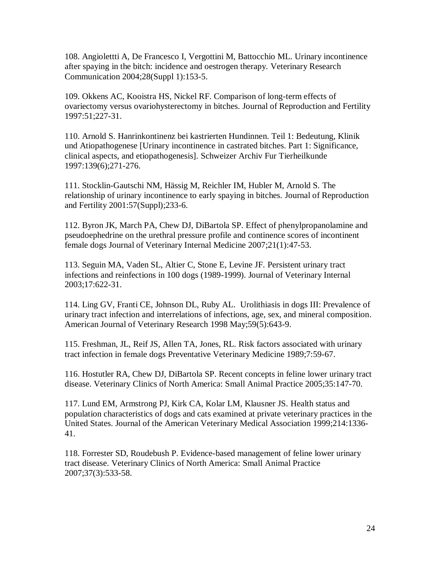108. Angiolettti A, De Francesco I, Vergottini M, Battocchio ML. Urinary incontinence after spaying in the bitch: incidence and oestrogen therapy. Veterinary Research Communication 2004;28(Suppl 1):153-5.

109. Okkens AC, Kooistra HS, Nickel RF. Comparison of long-term effects of ovariectomy versus ovariohysterectomy in bitches. Journal of Reproduction and Fertility 1997:51;227-31.

110. Arnold S. Hanrinkontinenz bei kastrierten Hundinnen. Teil 1: Bedeutung, Klinik und Atiopathogenese [Urinary incontinence in castrated bitches. Part 1: Significance, clinical aspects, and etiopathogenesis]. Schweizer Archiv Fur Tierheilkunde 1997:139(6);271-276.

111. Stocklin-Gautschi NM, Hässig M, Reichler IM, Hubler M, Arnold S. The relationship of urinary incontinence to early spaying in bitches. Journal of Reproduction and Fertility 2001:57(Suppl);233-6.

112. Byron JK, March PA, Chew DJ, DiBartola SP. Effect of phenylpropanolamine and pseudoephedrine on the urethral pressure profile and continence scores of incontinent female dogs Journal of Veterinary Internal Medicine 2007;21(1):47-53.

113. Seguin MA, Vaden SL, Altier C, Stone E, Levine JF. Persistent urinary tract infections and reinfections in 100 dogs (1989-1999). Journal of Veterinary Internal 2003;17:622-31.

114. Ling GV, Franti CE, Johnson DL, Ruby AL. Urolithiasis in dogs III: Prevalence of urinary tract infection and interrelations of infections, age, sex, and mineral composition. American Journal of Veterinary Research 1998 May;59(5):643-9.

115. Freshman, JL, Reif JS, Allen TA, Jones, RL. Risk factors associated with urinary tract infection in female dogs Preventative Veterinary Medicine 1989;7:59-67.

116. Hostutler RA, Chew DJ, DiBartola SP. Recent concepts in feline lower urinary tract disease. Veterinary Clinics of North America: Small Animal Practice 2005;35:147-70.

117. Lund EM, Armstrong PJ, Kirk CA, Kolar LM, Klausner JS. Health status and population characteristics of dogs and cats examined at private veterinary practices in the United States. Journal of the American Veterinary Medical Association 1999;214:1336- 41.

118. Forrester SD, Roudebush P. Evidence-based management of feline lower urinary tract disease. Veterinary Clinics of North America: Small Animal Practice 2007;37(3):533-58.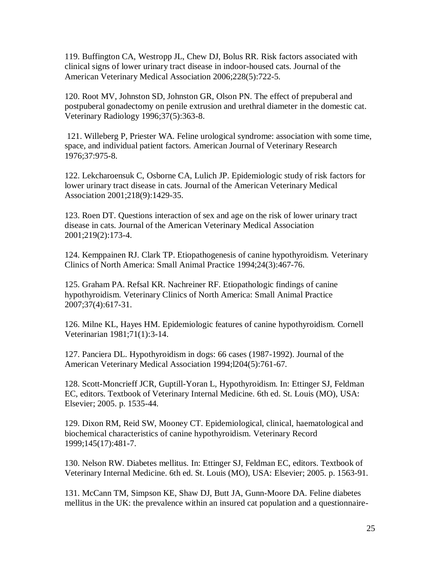119. Buffington CA, Westropp JL, Chew DJ, Bolus RR. Risk factors associated with clinical signs of lower urinary tract disease in indoor-housed cats. Journal of the American Veterinary Medical Association 2006;228(5):722-5.

120. Root MV, Johnston SD, Johnston GR, Olson PN. The effect of prepuberal and postpuberal gonadectomy on penile extrusion and urethral diameter in the domestic cat. Veterinary Radiology 1996;37(5):363-8.

121. Willeberg P, Priester WA. Feline urological syndrome: association with some time, space, and individual patient factors. American Journal of Veterinary Research 1976;37:975-8.

122. Lekcharoensuk C, Osborne CA, Lulich JP. Epidemiologic study of risk factors for lower urinary tract disease in cats. Journal of the American Veterinary Medical Association 2001;218(9):1429-35.

123. Roen DT. Questions interaction of sex and age on the risk of lower urinary tract disease in cats. Journal of the American Veterinary Medical Association 2001;219(2):173-4.

124. [Kemppainen RJ.](http://www.ncbi.nlm.nih.gov/pubmed?term=%22Kemppainen%20RJ%22%5BAuthor%5D&itool=EntrezSystem2.PEntrez.Pubmed.Pubmed_ResultsPanel.Pubmed_RVAbstract) [Clark TP.](http://www.ncbi.nlm.nih.gov/pubmed?term=%22Clark%20TP%22%5BAuthor%5D&itool=EntrezSystem2.PEntrez.Pubmed.Pubmed_ResultsPanel.Pubmed_RVAbstract) Etiopathogenesis of canine hypothyroidism. Veterinary Clinics of North America: Small Animal Practice 1994;24(3):467-76.

125. [Graham PA.](http://www.ncbi.nlm.nih.gov/pubmed?term=%22Graham%20PA%22%5BAuthor%5D&itool=EntrezSystem2.PEntrez.Pubmed.Pubmed_ResultsPanel.Pubmed_RVAbstract) [Refsal KR.](http://www.ncbi.nlm.nih.gov/pubmed?term=%22Refsal%20KR%22%5BAuthor%5D&itool=EntrezSystem2.PEntrez.Pubmed.Pubmed_ResultsPanel.Pubmed_RVAbstract) [Nachreiner RF.](http://www.ncbi.nlm.nih.gov/pubmed?term=%22Nachreiner%20RF%22%5BAuthor%5D&itool=EntrezSystem2.PEntrez.Pubmed.Pubmed_ResultsPanel.Pubmed_RVAbstract) Etiopathologic findings of canine hypothyroidism. Veterinary Clinics of North America: Small Animal Practice 2007;37(4):617-31.

126. Milne KL, Hayes HM. Epidemiologic features of canine hypothyroidism. Cornell Veterinarian 1981;71(1):3-14.

127. Panciera DL. Hypothyroidism in dogs: 66 cases (1987-1992). Journal of the American Veterinary Medical Association 1994;l204(5):761-67.

128. Scott-Moncrieff JCR, Guptill-Yoran L, Hypothyroidism. In: Ettinger SJ, Feldman EC, editors. Textbook of Veterinary Internal Medicine. 6th ed. St. Louis (MO), USA: Elsevier; 2005. p. 1535-44.

129. Dixon RM, Reid SW, Mooney CT. Epidemiological, clinical, haematological and biochemical characteristics of canine hypothyroidism. Veterinary Record 1999;145(17):481-7.

130. Nelson RW. Diabetes mellitus. In: Ettinger SJ, Feldman EC, editors. Textbook of Veterinary Internal Medicine. 6th ed. St. Louis (MO), USA: Elsevier; 2005. p. 1563-91.

131. McCann TM, Simpson KE, Shaw DJ, Butt JA, Gunn-Moore DA. Feline diabetes mellitus in the UK: the prevalence within an insured cat population and a questionnaire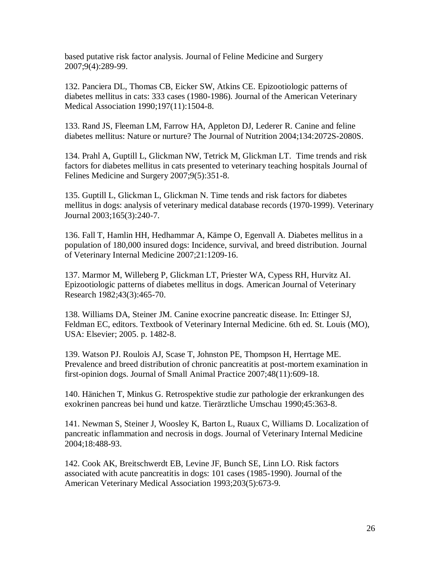based putative risk factor analysis. Journal of Feline Medicine and Surgery 2007;9(4):289-99.

132. Panciera DL, Thomas CB, Eicker SW, Atkins CE. Epizootiologic patterns of diabetes mellitus in cats: 333 cases (1980-1986). Journal of the American Veterinary Medical Association 1990;197(11):1504-8.

133. Rand JS, Fleeman LM, Farrow HA, Appleton DJ, Lederer R. Canine and feline diabetes mellitus: Nature or nurture? The Journal of Nutrition 2004;134:2072S-2080S.

134. Prahl A, Guptill L, Glickman NW, Tetrick M, Glickman LT. Time trends and risk factors for diabetes mellitus in cats presented to veterinary teaching hospitals Journal of Felines Medicine and Surgery 2007;9(5):351-8.

135. Guptill L, Glickman L, Glickman N. Time tends and risk factors for diabetes mellitus in dogs: analysis of veterinary medical database records (1970-1999). Veterinary Journal 2003;165(3):240-7.

136. Fall T, Hamlin HH, Hedhammar A, Kämpe O, Egenvall A. Diabetes mellitus in a population of 180,000 insured dogs: Incidence, survival, and breed distribution. Journal of Veterinary Internal Medicine 2007;21:1209-16.

137. Marmor M, Willeberg P, Glickman LT, Priester WA, Cypess RH, Hurvitz AI. Epizootiologic patterns of diabetes mellitus in dogs. American Journal of Veterinary Research 1982;43(3):465-70.

138. Williams DA, Steiner JM. Canine exocrine pancreatic disease. In: Ettinger SJ, Feldman EC, editors. Textbook of Veterinary Internal Medicine. 6th ed. St. Louis (MO), USA: Elsevier; 2005. p. 1482-8.

139. Watson PJ. Roulois AJ, Scase T, Johnston PE, Thompson H, Herrtage ME. Prevalence and breed distribution of chronic pancreatitis at post-mortem examination in first-opinion dogs. Journal of Small Animal Practice 2007;48(11):609-18.

140. Hänichen T, Minkus G. Retrospektive studie zur pathologie der erkrankungen des exokrinen pancreas bei hund und katze. Tierärztliche Umschau 1990;45:363-8.

141. Newman S, Steiner J, Woosley K, Barton L, Ruaux C, Williams D. [Localization of](http://www.vin.com/Members/SearchDB/journals/scanned/ja022500/ja022000.htm)  [pancreatic inflammation and](http://www.vin.com/Members/SearchDB/journals/scanned/ja022500/ja022000.htm) necrosis in dogs. Journal of Veterinary Internal Medicine 2004;18:488-93.

142. Cook AK, Breitschwerdt EB, Levine JF, Bunch SE, Linn LO. Risk factors associated with acute pancreatitis in dogs: 101 cases (1985-1990). Journal of the American Veterinary Medical Association 1993;203(5):673-9.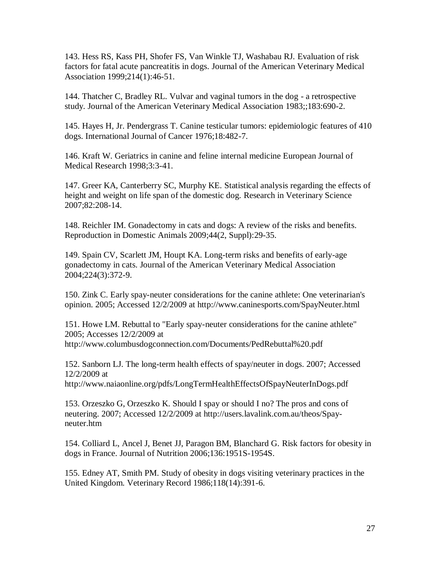143. Hess RS, Kass PH, Shofer FS, Van Winkle TJ, Washabau RJ. Evaluation of risk factors for fatal acute pancreatitis in dogs. Journal of the American Veterinary Medical Association 1999;214(1):46-51.

144. Thatcher C, Bradley RL. Vulvar and vaginal tumors in the dog - a retrospective study. Journal of the American Veterinary Medical Association 1983;;183:690-2.

145. Hayes H, Jr. Pendergrass T. Canine testicular tumors: epidemiologic features of 410 dogs. International Journal of Cancer 1976;18:482-7.

146. Kraft W. Geriatrics in canine and feline internal medicine European Journal of Medical Research 1998;3:3-41.

147. Greer KA, Canterberry SC, Murphy KE. Statistical analysis regarding the effects of height and weight on life span of the domestic dog. Research in Veterinary Science 2007;82:208-14.

148. Reichler IM. Gonadectomy in cats and dogs: A review of the risks and benefits. Reproduction in Domestic Animals 2009;44(2, Suppl):29-35.

149. Spain CV, Scarlett JM, Houpt KA. Long-term risks and benefits of early-age gonadectomy in cats. Journal of the American Veterinary Medical Association 2004;224(3):372-9.

150. Zink C. Early spay-neuter considerations for the canine athlete: One veterinarian's opinion. 2005; Accessed 12/2/2009 at http://www.caninesports.com/SpayNeuter.html

151. Howe LM. Rebuttal to "Early spay-neuter considerations for the canine athlete" 2005; Accesses 12/2/2009 at http://www.columbusdogconnection.com/Documents/PedRebuttal%20.pdf

152. Sanborn LJ. The long-term health effects of spay/neuter in dogs. 2007; Accessed 12/2/2009 at

http://www.naiaonline.org/pdfs/LongTermHealthEffectsOfSpayNeuterInDogs.pdf

153. Orzeszko G, Orzeszko K. Should I spay or should I no? The pros and cons of neutering. 2007; Accessed 12/2/2009 at http://users.lavalink.com.au/theos/Spayneuter.htm

154. Colliard L, Ancel J, Benet JJ, Paragon BM, Blanchard G. Risk factors for obesity in dogs in France. Journal of Nutrition 2006;136:1951S-1954S.

155. Edney AT, Smith PM. Study of obesity in dogs visiting veterinary practices in the United Kingdom. Veterinary Record 1986;118(14):391-6.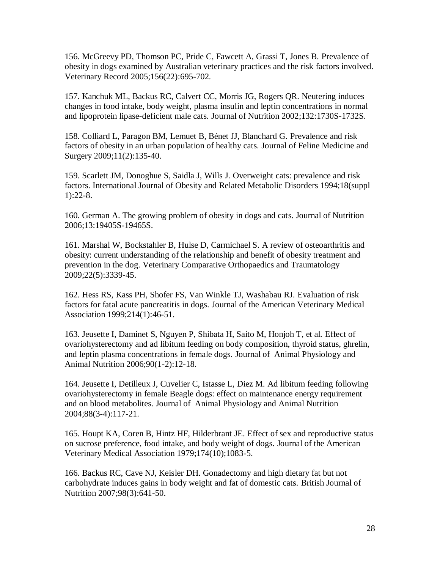156. McGreevy PD, Thomson PC, Pride C, Fawcett A, Grassi T, Jones B. Prevalence of obesity in dogs examined by Australian veterinary practices and the risk factors involved. Veterinary Record 2005;156(22):695-702.

157. Kanchuk ML, Backus RC, Calvert CC, Morris JG, Rogers QR. Neutering induces changes in food intake, body weight, plasma insulin and leptin concentrations in normal and lipoprotein lipase-deficient male cats. Journal of Nutrition 2002;132:1730S-1732S.

158. Colliard L, Paragon BM, Lemuet B, Bénet JJ, Blanchard G. Prevalence and risk factors of obesity in an urban population of healthy cats. Journal of Feline Medicine and Surgery 2009;11(2):135-40.

159. Scarlett JM, Donoghue S, Saidla J, Wills J. Overweight cats: prevalence and risk factors. International Journal of Obesity and Related Metabolic Disorders 1994;18(suppl 1):22-8.

160. German A. The growing problem of obesity in dogs and cats. Journal of Nutrition 2006;13:19405S-19465S.

161. Marshal W, Bockstahler B, Hulse D, Carmichael S. A review of osteoarthritis and obesity: current understanding of the relationship and benefit of obesity treatment and prevention in the dog. Veterinary Comparative Orthopaedics and Traumatology 2009;22(5):3339-45.

162. Hess RS, Kass PH, Shofer FS, Van Winkle TJ, Washabau RJ. Evaluation of risk factors for fatal acute pancreatitis in dogs. Journal of the American Veterinary Medical Association 1999;214(1):46-51.

163. Jeusette I, Daminet S, Nguyen P, Shibata H, Saito M, Honjoh T, et al. Effect of ovariohysterectomy and ad libitum feeding on body composition, thyroid status, ghrelin, and leptin plasma concentrations in female dogs. Journal of Animal Physiology and Animal Nutrition 2006;90(1-2):12-18.

164. Jeusette I, Detilleux J, Cuvelier C, Istasse L, Diez M. Ad libitum feeding following ovariohysterectomy in female Beagle dogs: effect on maintenance energy requirement and on blood metabolites. Journal of Animal Physiology and Animal Nutrition 2004;88(3-4):117-21.

165. Houpt KA, Coren B, Hintz HF, Hilderbrant JE. Effect of sex and reproductive status on sucrose preference, food intake, and body weight of dogs. Journal of the American Veterinary Medical Association 1979;174(10);1083-5.

166. Backus RC, Cave NJ, Keisler DH. Gonadectomy and high dietary fat but not carbohydrate induces gains in body weight and fat of domestic cats. British Journal of Nutrition 2007;98(3):641-50.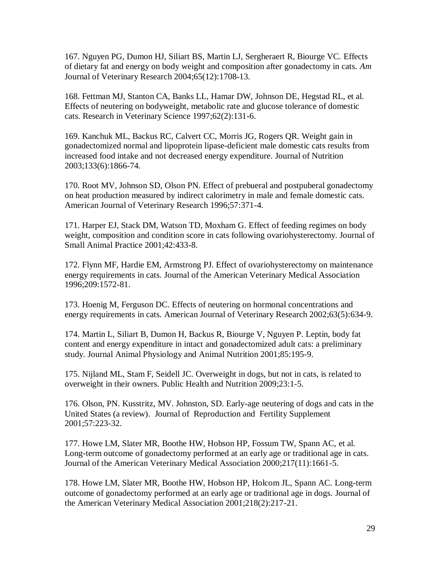167. Nguyen PG, Dumon HJ, Siliart BS, Martin LJ, Sergheraert R, Biourge VC. Effects of dietary fat and energy on body weight and composition after gonadectomy in cats. *Am*  Journal of Veterinary Research 2004;65(12):1708-13.

168. Fettman MJ, Stanton CA, Banks LL, Hamar DW, Johnson DE, Hegstad RL, et al. Effects of neutering on bodyweight, metabolic rate and glucose tolerance of domestic cats. Research in Veterinary Science 1997;62(2):131-6.

169. Kanchuk ML, Backus RC, Calvert CC, Morris JG, Rogers QR. Weight gain in gonadectomized normal and lipoprotein lipase-deficient male domestic cats results from increased food intake and not decreased energy expenditure. Journal of Nutrition 2003;133(6):1866-74.

170. Root MV, Johnson SD, Olson PN. Effect of prebueral and postpuberal gonadectomy on heat production measured by indirect calorimetry in male and female domestic cats. American Journal of Veterinary Research 1996;57:371-4.

171. Harper EJ, Stack DM, Watson TD, Moxham G. Effect of feeding regimes on body weight, composition and condition score in cats following ovariohysterectomy. Journal of Small Animal Practice 2001;42:433-8.

172. Flynn MF, Hardie EM, Armstrong PJ. Effect of ovariohysterectomy on maintenance energy requirements in cats. Journal of the American Veterinary Medical Association 1996;209:1572-81.

173. Hoenig M, Ferguson DC. Effects of neutering on hormonal concentrations and energy requirements in cats. American Journal of Veterinary Research 2002;63(5):634-9.

174. Martin L, Siliart B, Dumon H, Backus R, Biourge V, Nguyen P. Leptin, body fat content and energy expenditure in intact and gonadectomized adult cats: a preliminary study. Journal Animal Physiology and Animal Nutrition 2001;85:195-9.

175. Nijland ML, Stam F, Seidell JC. Overweight in dogs, but not in cats, is related to overweight in their owners. Public Health and Nutrition 2009;23:1-5.

176. Olson, PN. Kusstritz, MV. Johnston, SD. Early-age neutering of dogs and cats in the United States (a review). Journal of Reproduction and Fertility Supplement 2001;57:223-32.

177. Howe LM, Slater MR, Boothe HW, Hobson HP, Fossum TW, Spann AC, et al. Long-term outcome of gonadectomy performed at an early age or traditional age in cats. Journal of the American Veterinary Medical Association 2000;217(11):1661-5.

178. Howe LM, Slater MR, Boothe HW, Hobson HP, Holcom JL, Spann AC. Long-term outcome of gonadectomy performed at an early age or traditional age in dogs. Journal of the American Veterinary Medical Association 2001;218(2):217-21.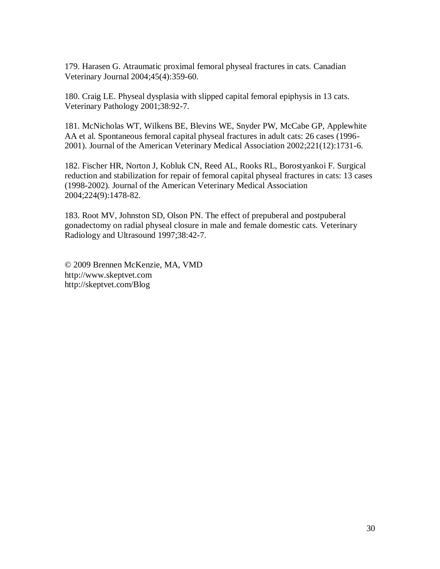179. Harasen G. Atraumatic proximal femoral physeal fractures in cats. Canadian Veterinary Journal 2004;45(4):359-60.

180. Craig LE. Physeal dysplasia with slipped capital femoral epiphysis in 13 cats. Veterinary Pathology 2001;38:92-7.

181. McNicholas WT, Wilkens BE, Blevins WE, Snyder PW, McCabe GP, Applewhite AA et al. Spontaneous femoral capital physeal fractures in adult cats: 26 cases (1996- 2001). Journal of the American Veterinary Medical Association 2002;221(12):1731-6.

182. Fischer HR, Norton J, Kobluk CN, Reed AL, Rooks RL, Borostyankoi F. Surgical reduction and stabilization for repair of femoral capital physeal fractures in cats: 13 cases (1998-2002). Journal of the American Veterinary Medical Association 2004;224(9):1478-82.

183. Root MV, Johnston SD, Olson PN. The effect of prepuberal and postpuberal gonadectomy on radial physeal closure in male and female domestic cats. Veterinary Radiology and Ultrasound 1997;38:42-7.

© 2009 Brennen McKenzie, MA, VMD http://www.skeptvet.com http://skeptvet.com/Blog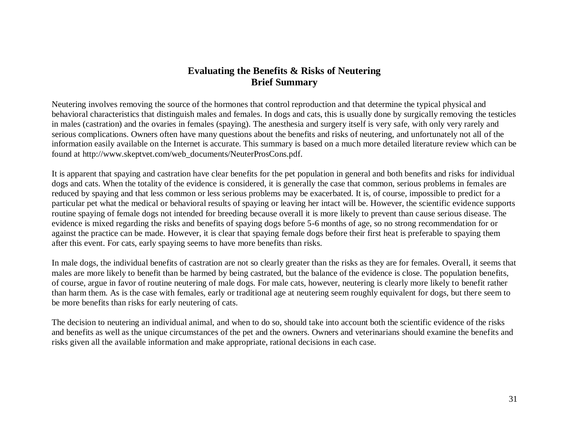# **Evaluating the Benefits & Risks of Neutering Brief Summary**

Neutering involves removing the source of the hormones that control reproduction and that determine the typical physical and behavioral characteristics that distinguish males and females. In dogs and cats, this is usually done by surgically removing the testicles in males (castration) and the ovaries in females (spaying). The anesthesia and surgery itself is very safe, with only very rarely and serious complications. Owners often have many questions about the benefits and risks of neutering, and unfortunately not all of the information easily available on the Internet is accurate. This summary is based on a much more detailed literature review which can be found at http://www.skeptvet.com/web\_documents/NeuterProsCons.pdf.

It is apparent that spaying and castration have clear benefits for the pet population in general and both benefits and risks for individual dogs and cats. When the totality of the evidence is considered, it is generally the case that common, serious problems in females are reduced by spaying and that less common or less serious problems may be exacerbated. It is, of course, impossible to predict for a particular pet what the medical or behavioral results of spaying or leaving her intact will be. However, the scientific evidence supports routine spaying of female dogs not intended for breeding because overall it is more likely to prevent than cause serious disease. The evidence is mixed regarding the risks and benefits of spaying dogs before 5-6 months of age, so no strong recommendation for or against the practice can be made. However, it is clear that spaying female dogs before their first heat is preferable to spaying them after this event. For cats, early spaying seems to have more benefits than risks.

In male dogs, the individual benefits of castration are not so clearly greater than the risks as they are for females. Overall, it seems that males are more likely to benefit than be harmed by being castrated, but the balance of the evidence is close. The population benefits, of course, argue in favor of routine neutering of male dogs. For male cats, however, neutering is clearly more likely to benefit rather than harm them. As is the case with females, early or traditional age at neutering seem roughly equivalent for dogs, but there seem to be more benefits than risks for early neutering of cats.

The decision to neutering an individual animal, and when to do so, should take into account both the scientific evidence of the risks and benefits as well as the unique circumstances of the pet and the owners. Owners and veterinarians should examine the benefits and risks given all the available information and make appropriate, rational decisions in each case.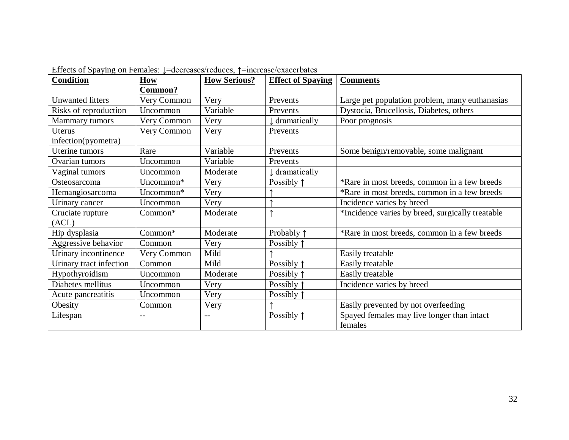| $\frac{1}{2}$ . The state of $\frac{1}{2}$ on $\frac{1}{2}$ changes, $\frac{1}{2}$ are called the set of $\frac{1}{2}$<br><b>Condition</b> | $\overline{\text{How}}$ | <b>How Serious?</b> | <b>Effect of Spaying</b> | <b>Comments</b>                                  |
|--------------------------------------------------------------------------------------------------------------------------------------------|-------------------------|---------------------|--------------------------|--------------------------------------------------|
|                                                                                                                                            | Common?                 |                     |                          |                                                  |
| <b>Unwanted litters</b>                                                                                                                    | Very Common             | Very                | Prevents                 | Large pet population problem, many euthanasias   |
| Risks of reproduction                                                                                                                      | Uncommon                | Variable            | Prevents                 | Dystocia, Brucellosis, Diabetes, others          |
| Mammary tumors                                                                                                                             | Very Common             | Very                | dramatically             | Poor prognosis                                   |
| Uterus                                                                                                                                     | Very Common             | Very                | Prevents                 |                                                  |
| infection(pyometra)                                                                                                                        |                         |                     |                          |                                                  |
| Uterine tumors                                                                                                                             | Rare                    | Variable            | Prevents                 | Some benign/removable, some malignant            |
| Ovarian tumors                                                                                                                             | Uncommon                | Variable            | Prevents                 |                                                  |
| Vaginal tumors                                                                                                                             | Uncommon                | Moderate            | dramatically             |                                                  |
| Osteosarcoma                                                                                                                               | Uncommon*               | Very                | Possibly $\uparrow$      | *Rare in most breeds, common in a few breeds     |
| Hemangiosarcoma                                                                                                                            | Uncommon*               | Very                |                          | *Rare in most breeds, common in a few breeds     |
| Urinary cancer                                                                                                                             | Uncommon                | Very                |                          | Incidence varies by breed                        |
| Cruciate rupture                                                                                                                           | Common*                 | Moderate            |                          | *Incidence varies by breed, surgically treatable |
| (ACL)                                                                                                                                      |                         |                     |                          |                                                  |
| Hip dysplasia                                                                                                                              | Common*                 | Moderate            | Probably 1               | *Rare in most breeds, common in a few breeds     |
| Aggressive behavior                                                                                                                        | Common                  | Very                | Possibly $\uparrow$      |                                                  |
| Urinary incontinence                                                                                                                       | Very Common             | Mild                |                          | Easily treatable                                 |
| Urinary tract infection                                                                                                                    | Common                  | Mild                | Possibly 1               | Easily treatable                                 |
| Hypothyroidism                                                                                                                             | Uncommon                | Moderate            | Possibly $\uparrow$      | Easily treatable                                 |
| Diabetes mellitus                                                                                                                          | Uncommon                | Very                | Possibly $\uparrow$      | Incidence varies by breed                        |
| Acute pancreatitis                                                                                                                         | Uncommon                | Very                | Possibly $\uparrow$      |                                                  |
| Obesity                                                                                                                                    | Common                  | Very                |                          | Easily prevented by not overfeeding              |
| Lifespan                                                                                                                                   | $-1$                    | $-$                 | Possibly $\uparrow$      | Spayed females may live longer than intact       |
|                                                                                                                                            |                         |                     |                          | females                                          |

Effects of Spaying on Females: ↓=decreases/reduces, ↑=increase/exacerbates